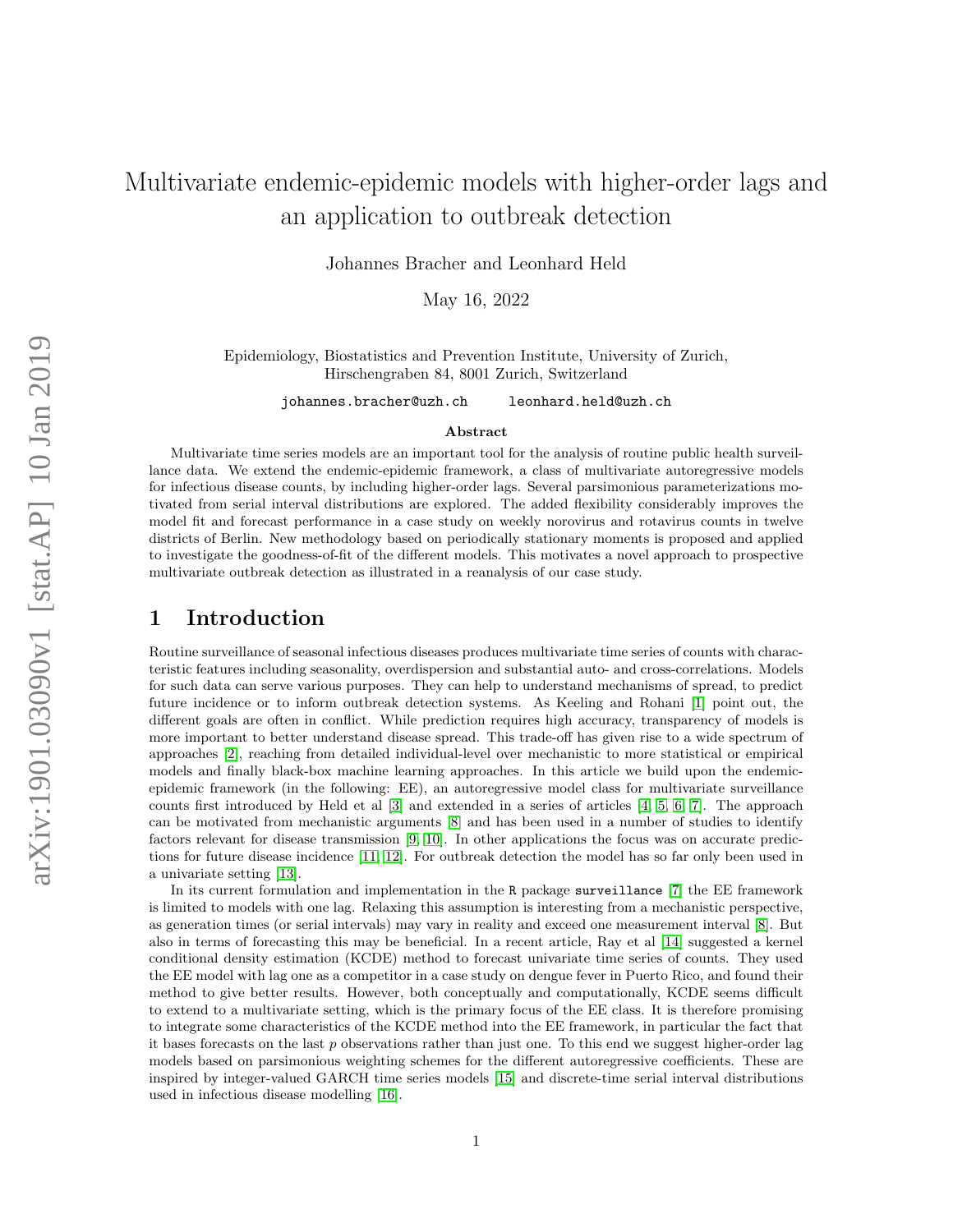# Multivariate endemic-epidemic models with higher-order lags and an application to outbreak detection

Johannes Bracher and Leonhard Held

May 16, 2022

Epidemiology, Biostatistics and Prevention Institute, University of Zurich, Hirschengraben 84, 8001 Zurich, Switzerland

johannes.bracher@uzh.ch leonhard.held@uzh.ch

#### Abstract

Multivariate time series models are an important tool for the analysis of routine public health surveillance data. We extend the endemic-epidemic framework, a class of multivariate autoregressive models for infectious disease counts, by including higher-order lags. Several parsimonious parameterizations motivated from serial interval distributions are explored. The added flexibility considerably improves the model fit and forecast performance in a case study on weekly norovirus and rotavirus counts in twelve districts of Berlin. New methodology based on periodically stationary moments is proposed and applied to investigate the goodness-of-fit of the different models. This motivates a novel approach to prospective multivariate outbreak detection as illustrated in a reanalysis of our case study.

## 1 Introduction

Routine surveillance of seasonal infectious diseases produces multivariate time series of counts with characteristic features including seasonality, overdispersion and substantial auto- and cross-correlations. Models for such data can serve various purposes. They can help to understand mechanisms of spread, to predict future incidence or to inform outbreak detection systems. As Keeling and Rohani [\[1\]](#page-16-0) point out, the different goals are often in conflict. While prediction requires high accuracy, transparency of models is more important to better understand disease spread. This trade-off has given rise to a wide spectrum of approaches [\[2\]](#page-16-1), reaching from detailed individual-level over mechanistic to more statistical or empirical models and finally black-box machine learning approaches. In this article we build upon the endemicepidemic framework (in the following: EE), an autoregressive model class for multivariate surveillance counts first introduced by Held et al [\[3\]](#page-16-2) and extended in a series of articles [\[4,](#page-16-3) [5,](#page-16-4) [6,](#page-16-5) [7\]](#page-16-6). The approach can be motivated from mechanistic arguments [\[8\]](#page-16-7) and has been used in a number of studies to identify factors relevant for disease transmission [\[9,](#page-16-8) [10\]](#page-16-9). In other applications the focus was on accurate predictions for future disease incidence [\[11,](#page-16-10) [12\]](#page-16-11). For outbreak detection the model has so far only been used in a univariate setting [\[13\]](#page-16-12).

In its current formulation and implementation in the R package surveillance [\[7\]](#page-16-6) the EE framework is limited to models with one lag. Relaxing this assumption is interesting from a mechanistic perspective, as generation times (or serial intervals) may vary in reality and exceed one measurement interval [\[8\]](#page-16-7). But also in terms of forecasting this may be beneficial. In a recent article, Ray et al [\[14\]](#page-16-13) suggested a kernel conditional density estimation (KCDE) method to forecast univariate time series of counts. They used the EE model with lag one as a competitor in a case study on dengue fever in Puerto Rico, and found their method to give better results. However, both conceptually and computationally, KCDE seems difficult to extend to a multivariate setting, which is the primary focus of the EE class. It is therefore promising to integrate some characteristics of the KCDE method into the EE framework, in particular the fact that it bases forecasts on the last  $p$  observations rather than just one. To this end we suggest higher-order lag models based on parsimonious weighting schemes for the different autoregressive coefficients. These are inspired by integer-valued GARCH time series models [\[15\]](#page-16-14) and discrete-time serial interval distributions used in infectious disease modelling [\[16\]](#page-16-15).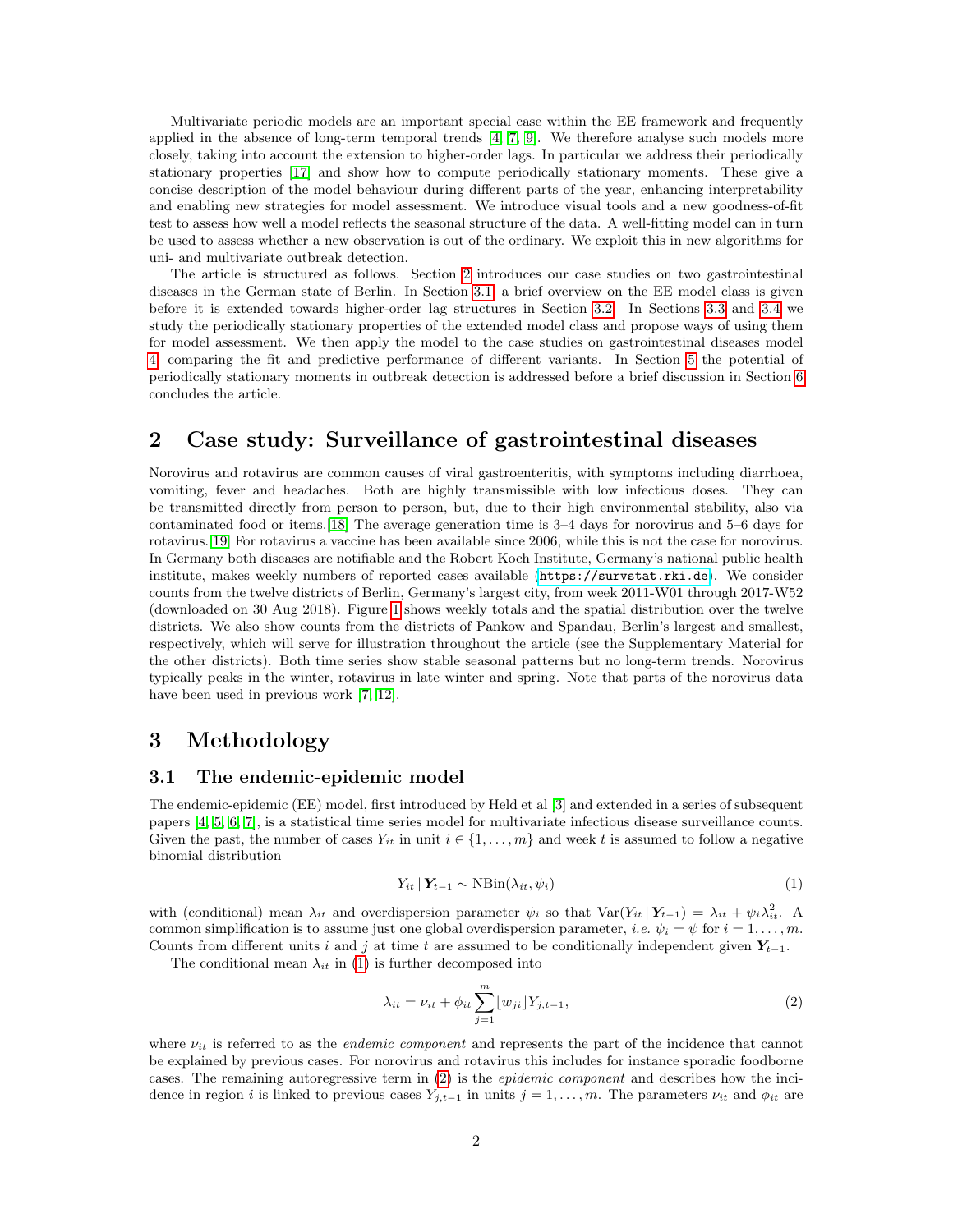Multivariate periodic models are an important special case within the EE framework and frequently applied in the absence of long-term temporal trends [\[4,](#page-16-3) [7,](#page-16-6) [9\]](#page-16-8). We therefore analyse such models more closely, taking into account the extension to higher-order lags. In particular we address their periodically stationary properties [\[17\]](#page-16-16) and show how to compute periodically stationary moments. These give a concise description of the model behaviour during different parts of the year, enhancing interpretability and enabling new strategies for model assessment. We introduce visual tools and a new goodness-of-fit test to assess how well a model reflects the seasonal structure of the data. A well-fitting model can in turn be used to assess whether a new observation is out of the ordinary. We exploit this in new algorithms for uni- and multivariate outbreak detection.

The article is structured as follows. Section [2](#page-1-0) introduces our case studies on two gastrointestinal diseases in the German state of Berlin. In Section [3.1,](#page-1-1) a brief overview on the EE model class is given before it is extended towards higher-order lag structures in Section [3.2.](#page-3-0) In Sections [3.3](#page-4-0) and [3.4](#page-4-1) we study the periodically stationary properties of the extended model class and propose ways of using them for model assessment. We then apply the model to the case studies on gastrointestinal diseases model [4,](#page-5-0) comparing the fit and predictive performance of different variants. In Section [5](#page-8-0) the potential of periodically stationary moments in outbreak detection is addressed before a brief discussion in Section [6](#page-12-0) concludes the article.

## <span id="page-1-0"></span>2 Case study: Surveillance of gastrointestinal diseases

Norovirus and rotavirus are common causes of viral gastroenteritis, with symptoms including diarrhoea, vomiting, fever and headaches. Both are highly transmissible with low infectious doses. They can be transmitted directly from person to person, but, due to their high environmental stability, also via contaminated food or items.[\[18\]](#page-16-17) The average generation time is 3–4 days for norovirus and 5–6 days for rotavirus.[\[19\]](#page-16-18) For rotavirus a vaccine has been available since 2006, while this is not the case for norovirus. In Germany both diseases are notifiable and the Robert Koch Institute, Germany's national public health institute, makes weekly numbers of reported cases available (<https://survstat.rki.de>). We consider counts from the twelve districts of Berlin, Germany's largest city, from week 2011-W01 through 2017-W52 (downloaded on 30 Aug 2018). Figure [1](#page-2-0) shows weekly totals and the spatial distribution over the twelve districts. We also show counts from the districts of Pankow and Spandau, Berlin's largest and smallest, respectively, which will serve for illustration throughout the article (see the Supplementary Material for the other districts). Both time series show stable seasonal patterns but no long-term trends. Norovirus typically peaks in the winter, rotavirus in late winter and spring. Note that parts of the norovirus data have been used in previous work [\[7,](#page-16-6) [12\]](#page-16-11).

## 3 Methodology

## <span id="page-1-1"></span>3.1 The endemic-epidemic model

The endemic-epidemic (EE) model, first introduced by Held et al [\[3\]](#page-16-2) and extended in a series of subsequent papers [\[4,](#page-16-3) [5,](#page-16-4) [6,](#page-16-5) [7\]](#page-16-6), is a statistical time series model for multivariate infectious disease surveillance counts. Given the past, the number of cases  $Y_{it}$  in unit  $i \in \{1, \ldots, m\}$  and week t is assumed to follow a negative binomial distribution

<span id="page-1-2"></span>
$$
Y_{it} | Y_{t-1} \sim \text{NBin}(\lambda_{it}, \psi_i) \tag{1}
$$

with (conditional) mean  $\lambda_{it}$  and overdispersion parameter  $\psi_i$  so that  $\text{Var}(Y_{it} | Y_{t-1}) = \lambda_{it} + \psi_i \lambda_{it}^2$ . A common simplification is to assume just one global overdispersion parameter, i.e.  $\psi_i = \psi$  for  $i = 1, \ldots, m$ . Counts from different units i and j at time t are assumed to be conditionally independent given  $Y_{t-1}$ .

The conditional mean  $\lambda_{it}$  in [\(1\)](#page-1-2) is further decomposed into

<span id="page-1-3"></span>
$$
\lambda_{it} = \nu_{it} + \phi_{it} \sum_{j=1}^{m} [w_{ji}] Y_{j,t-1},
$$
\n(2)

where  $\nu_{it}$  is referred to as the *endemic component* and represents the part of the incidence that cannot be explained by previous cases. For norovirus and rotavirus this includes for instance sporadic foodborne cases. The remaining autoregressive term in [\(2\)](#page-1-3) is the *epidemic component* and describes how the incidence in region i is linked to previous cases  $Y_{j,t-1}$  in units  $j = 1, \ldots, m$ . The parameters  $\nu_{it}$  and  $\phi_{it}$  are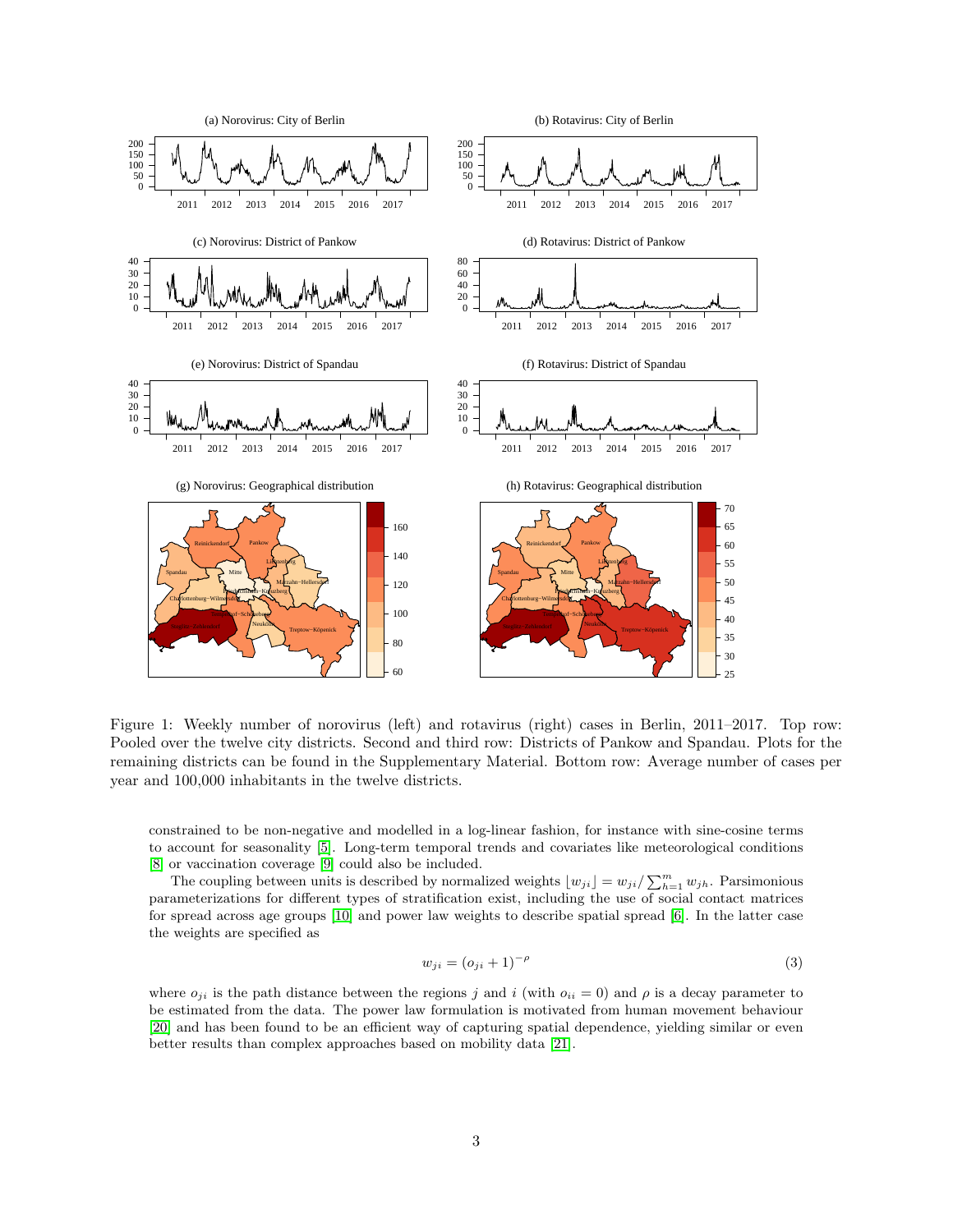

<span id="page-2-0"></span>Figure 1: Weekly number of norovirus (left) and rotavirus (right) cases in Berlin, 2011–2017. Top row: Pooled over the twelve city districts. Second and third row: Districts of Pankow and Spandau. Plots for the remaining districts can be found in the Supplementary Material. Bottom row: Average number of cases per year and 100,000 inhabitants in the twelve districts.

constrained to be non-negative and modelled in a log-linear fashion, for instance with sine-cosine terms to account for seasonality [\[5\]](#page-16-4). Long-term temporal trends and covariates like meteorological conditions [\[8\]](#page-16-7) or vaccination coverage [\[9\]](#page-16-8) could also be included.

The coupling between units is described by normalized weights  $\lfloor w_{ji} \rfloor = w_{ji}/\sum_{h=1}^{m} w_{jh}$ . Parsimonious parameterizations for different types of stratification exist, including the use of social contact matrices for spread across age groups [\[10\]](#page-16-9) and power law weights to describe spatial spread [\[6\]](#page-16-5). In the latter case the weights are specified as

<span id="page-2-1"></span>
$$
w_{ji} = (o_{ji} + 1)^{-\rho} \tag{3}
$$

where  $o_{ii}$  is the path distance between the regions j and i (with  $o_{ii} = 0$ ) and  $\rho$  is a decay parameter to be estimated from the data. The power law formulation is motivated from human movement behaviour [\[20\]](#page-16-19) and has been found to be an efficient way of capturing spatial dependence, yielding similar or even better results than complex approaches based on mobility data [\[21\]](#page-17-0).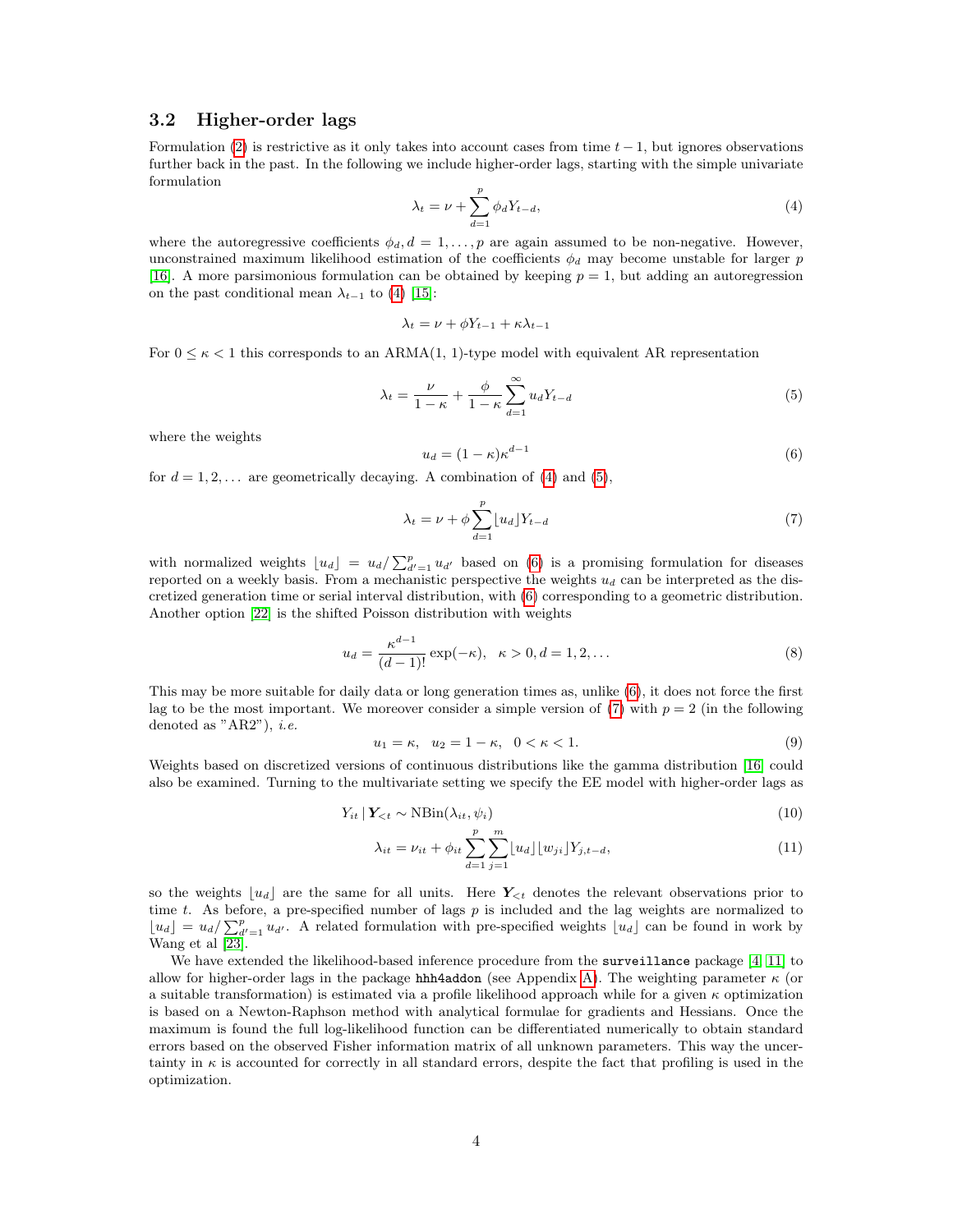## <span id="page-3-0"></span>3.2 Higher-order lags

<span id="page-3-1"></span>Formulation [\(2\)](#page-1-3) is restrictive as it only takes into account cases from time  $t - 1$ , but ignores observations further back in the past. In the following we include higher-order lags, starting with the simple univariate formulation

$$
\lambda_t = \nu + \sum_{d=1}^p \phi_d Y_{t-d},\tag{4}
$$

where the autoregressive coefficients  $\phi_d$ ,  $d = 1, \ldots, p$  are again assumed to be non-negative. However, unconstrained maximum likelihood estimation of the coefficients  $\phi_d$  may become unstable for larger p [\[16\]](#page-16-15). A more parsimonious formulation can be obtained by keeping  $p = 1$ , but adding an autoregression on the past conditional mean  $\lambda_{t-1}$  to [\(4\)](#page-3-1) [\[15\]](#page-16-14):

$$
\lambda_t = \nu + \phi Y_{t-1} + \kappa \lambda_{t-1}
$$

For  $0 \leq \kappa \leq 1$  this corresponds to an ARMA(1, 1)-type model with equivalent AR representation

$$
\lambda_t = \frac{\nu}{1 - \kappa} + \frac{\phi}{1 - \kappa} \sum_{d=1}^{\infty} u_d Y_{t-d} \tag{5}
$$

<span id="page-3-3"></span>where the weights

<span id="page-3-4"></span><span id="page-3-2"></span>
$$
u_d = (1 - \kappa)\kappa^{d-1} \tag{6}
$$

for  $d = 1, 2, \ldots$  are geometrically decaying. A combination of [\(4\)](#page-3-1) and [\(5\)](#page-3-2),

<span id="page-3-7"></span>
$$
\lambda_t = \nu + \phi \sum_{d=1}^p \lfloor u_d \rfloor Y_{t-d} \tag{7}
$$

with normalized weights  $[u_d] = u_d / \sum_{d'=1}^p u_{d'}$  based on [\(6\)](#page-3-3) is a promising formulation for diseases reported on a weekly basis. From a mechanistic perspective the weights  $u_d$  can be interpreted as the discretized generation time or serial interval distribution, with [\(6\)](#page-3-3) corresponding to a geometric distribution. Another option [\[22\]](#page-17-1) is the shifted Poisson distribution with weights

$$
u_d = \frac{\kappa^{d-1}}{(d-1)!} \exp(-\kappa), \quad \kappa > 0, d = 1, 2, \dots
$$
 (8)

This may be more suitable for daily data or long generation times as, unlike [\(6\)](#page-3-3), it does not force the first lag to be the most important. We moreover consider a simple version of [\(7\)](#page-3-4) with  $p = 2$  (in the following denoted as " $AR2$ "), *i.e.* 

<span id="page-3-8"></span><span id="page-3-5"></span>
$$
u_1 = \kappa, \ \ u_2 = 1 - \kappa, \ \ 0 < \kappa < 1. \tag{9}
$$

Weights based on discretized versions of continuous distributions like the gamma distribution [\[16\]](#page-16-15) could also be examined. Turning to the multivariate setting we specify the EE model with higher-order lags as

$$
Y_{it} | Y_{< t} \sim \text{NBin}(\lambda_{it}, \psi_i) \tag{10}
$$

<span id="page-3-6"></span>
$$
\lambda_{it} = \nu_{it} + \phi_{it} \sum_{d=1}^{p} \sum_{j=1}^{m} [u_d] [w_{ji}] Y_{j,t-d}, \qquad (11)
$$

so the weights  $|u_d|$  are the same for all units. Here  $Y_{\leq t}$  denotes the relevant observations prior to time t. As before, a pre-specified number of lags  $p$  is included and the lag weights are normalized to  $\lfloor u_d \rfloor = u_d / \sum_{d'=1}^p u_{d'}$ . A related formulation with pre-specified weights  $\lfloor u_d \rfloor$  can be found in work by Wang et al [\[23\]](#page-17-2).

We have extended the likelihood-based inference procedure from the surveillance package [\[4,](#page-16-3) [11\]](#page-16-10) to allow for higher-order lags in the package hhh4addon (see Appendix [A\)](#page-13-0). The weighting parameter  $\kappa$  (or a suitable transformation) is estimated via a profile likelihood approach while for a given  $\kappa$  optimization is based on a Newton-Raphson method with analytical formulae for gradients and Hessians. Once the maximum is found the full log-likelihood function can be differentiated numerically to obtain standard errors based on the observed Fisher information matrix of all unknown parameters. This way the uncertainty in  $\kappa$  is accounted for correctly in all standard errors, despite the fact that profiling is used in the optimization.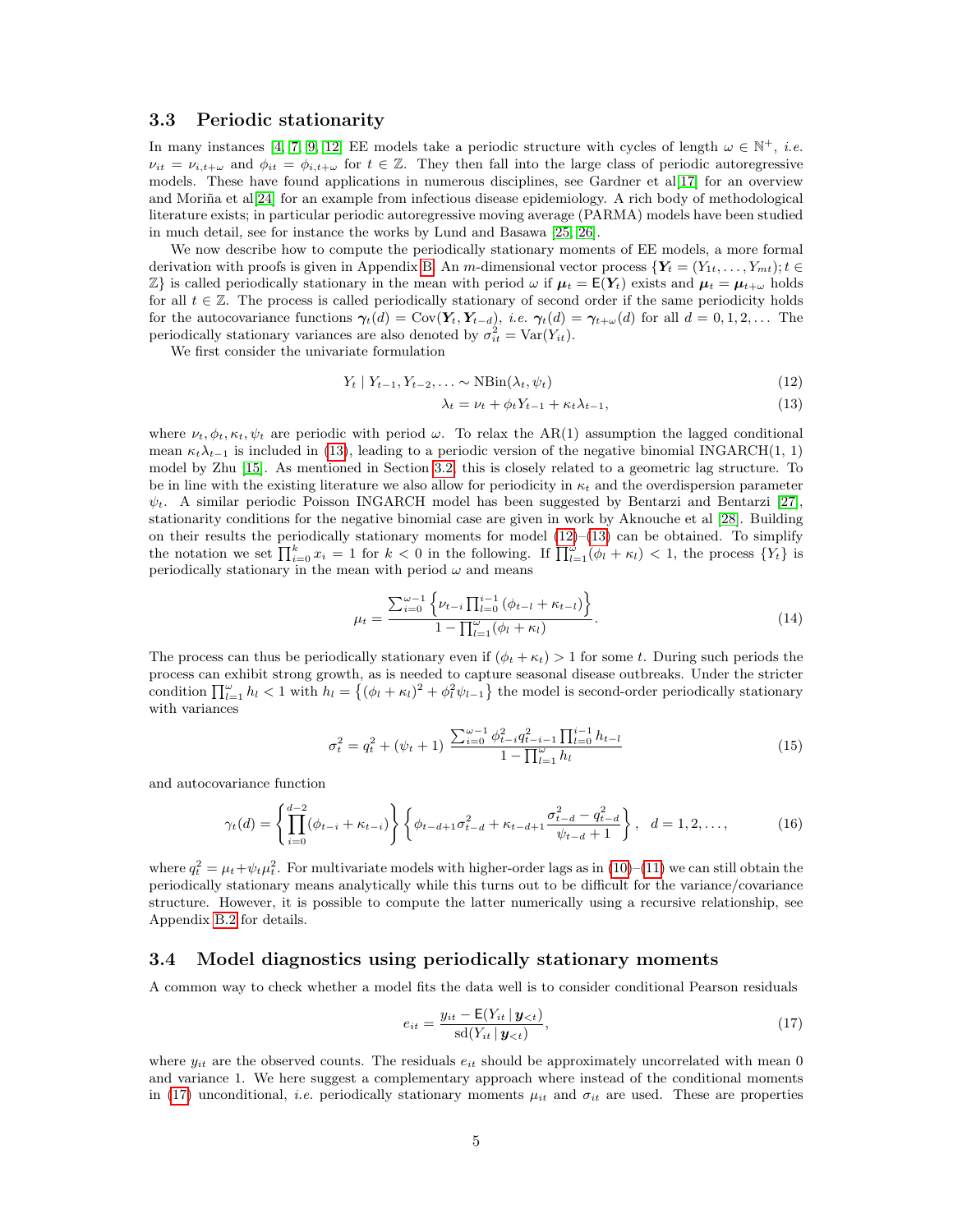## <span id="page-4-0"></span>3.3 Periodic stationarity

In many instances [\[4,](#page-16-3) [7,](#page-16-6) [9,](#page-16-8) [12\]](#page-16-11) EE models take a periodic structure with cycles of length  $\omega \in \mathbb{N}^+$ , *i.e.*  $\nu_{it} = \nu_{i,t+\omega}$  and  $\phi_{it} = \phi_{i,t+\omega}$  for  $t \in \mathbb{Z}$ . They then fall into the large class of periodic autoregressive models. These have found applications in numerous disciplines, see Gardner et al[\[17\]](#page-16-16) for an overview and Moriña et al[\[24\]](#page-17-3) for an example from infectious disease epidemiology. A rich body of methodological literature exists; in particular periodic autoregressive moving average (PARMA) models have been studied in much detail, see for instance the works by Lund and Basawa [\[25,](#page-17-4) [26\]](#page-17-5).

We now describe how to compute the periodically stationary moments of EE models, a more formal derivation with proofs is given in Appendix [B.](#page-13-1) An m-dimensional vector process  ${Y_t = (Y_{1t},..., Y_{mt})}$ ;  $t \in$  $\mathbb{Z}$ } is called periodically stationary in the mean with period  $\omega$  if  $\mu_t = \mathsf{E}(Y_t)$  exists and  $\mu_t = \mu_{t+\omega}$  holds for all  $t \in \mathbb{Z}$ . The process is called periodically stationary of second order if the same periodicity holds for the autocovariance functions  $\gamma_t(d) = \text{Cov}(\mathbf{Y}_t, \mathbf{Y}_{t-d}),$  *i.e.*  $\gamma_t(d) = \gamma_{t+\omega}(d)$  for all  $d = 0, 1, 2, \dots$  The periodically stationary variances are also denoted by  $\sigma_{it}^2 = \text{Var}(Y_{it})$ .

We first consider the univariate formulation

$$
Y_t | Y_{t-1}, Y_{t-2}, \dots \sim \text{NBin}(\lambda_t, \psi_t)
$$
\n
$$
(12)
$$

<span id="page-4-3"></span><span id="page-4-2"></span>
$$
\lambda_t = \nu_t + \phi_t Y_{t-1} + \kappa_t \lambda_{t-1},\tag{13}
$$

where  $\nu_t, \phi_t, \kappa_t, \psi_t$  are periodic with period  $\omega$ . To relax the AR(1) assumption the lagged conditional mean  $\kappa_t \lambda_{t-1}$  is included in [\(13\)](#page-4-2), leading to a periodic version of the negative binomial INGARCH(1, 1) model by Zhu [\[15\]](#page-16-14). As mentioned in Section [3.2,](#page-3-0) this is closely related to a geometric lag structure. To be in line with the existing literature we also allow for periodicity in  $\kappa_t$  and the overdispersion parameter  $\psi_t$ . A similar periodic Poisson INGARCH model has been suggested by Bentarzi and Bentarzi [\[27\]](#page-17-6), stationarity conditions for the negative binomial case are given in work by Aknouche et al [\[28\]](#page-17-7). Building on their results the periodically stationary moments for model  $(12)$ – $(13)$  can be obtained. To simplify the notation we set  $\prod_{i=0}^{k} x_i = 1$  for  $k < 0$  in the following. If  $\prod_{l=1}^{\omega} (\phi_l + \kappa_l) < 1$ , the process  $\{Y_t\}$  is periodically stationary in the mean with period  $\omega$  and means

<span id="page-4-6"></span><span id="page-4-5"></span>
$$
\mu_t = \frac{\sum_{i=0}^{\omega-1} \left\{ \nu_{t-i} \prod_{l=0}^{i-1} \left( \phi_{t-l} + \kappa_{t-l} \right) \right\}}{1 - \prod_{l=1}^{\omega} \left( \phi_l + \kappa_l \right)}.
$$
\n(14)

The process can thus be periodically stationary even if  $(\phi_t + \kappa_t) > 1$  for some t. During such periods the process can exhibit strong growth, as is needed to capture seasonal disease outbreaks. Under the stricter condition  $\prod_{l=1}^{\omega} h_l < 1$  with  $h_l = \left\{ (\phi_l + \kappa_l)^2 + \phi_l^2 \psi_{l-1} \right\}$  the model is second-order periodically stationary with variances

$$
\sigma_t^2 = q_t^2 + (\psi_t + 1) \frac{\sum_{i=0}^{\omega - 1} \phi_{t-i}^2 q_{t-i-1}^2 \prod_{l=0}^{i-1} h_{t-l}}{1 - \prod_{l=1}^{\omega} h_l}
$$
(15)

and autocovariance function

$$
\gamma_t(d) = \left\{ \prod_{i=0}^{d-2} (\phi_{t-i} + \kappa_{t-i}) \right\} \left\{ \phi_{t-d+1} \sigma_{t-d}^2 + \kappa_{t-d+1} \frac{\sigma_{t-d}^2 - q_{t-d}^2}{\psi_{t-d} + 1} \right\}, \quad d = 1, 2, \dots,
$$
 (16)

where  $q_t^2 = \mu_t + \psi_t \mu_t^2$ . For multivariate models with higher-order lags as in [\(10\)](#page-3-5)–[\(11\)](#page-3-6) we can still obtain the periodically stationary means analytically while this turns out to be difficult for the variance/covariance structure. However, it is possible to compute the latter numerically using a recursive relationship, see Appendix [B.2](#page-14-0) for details.

### <span id="page-4-1"></span>3.4 Model diagnostics using periodically stationary moments

A common way to check whether a model fits the data well is to consider conditional Pearson residuals

<span id="page-4-7"></span><span id="page-4-4"></span>
$$
e_{it} = \frac{y_{it} - \mathsf{E}(Y_{it} | \mathbf{y}_{
$$

where  $y_{it}$  are the observed counts. The residuals  $e_{it}$  should be approximately uncorrelated with mean 0 and variance 1. We here suggest a complementary approach where instead of the conditional moments in [\(17\)](#page-4-4) unconditional, *i.e.* periodically stationary moments  $\mu_{it}$  and  $\sigma_{it}$  are used. These are properties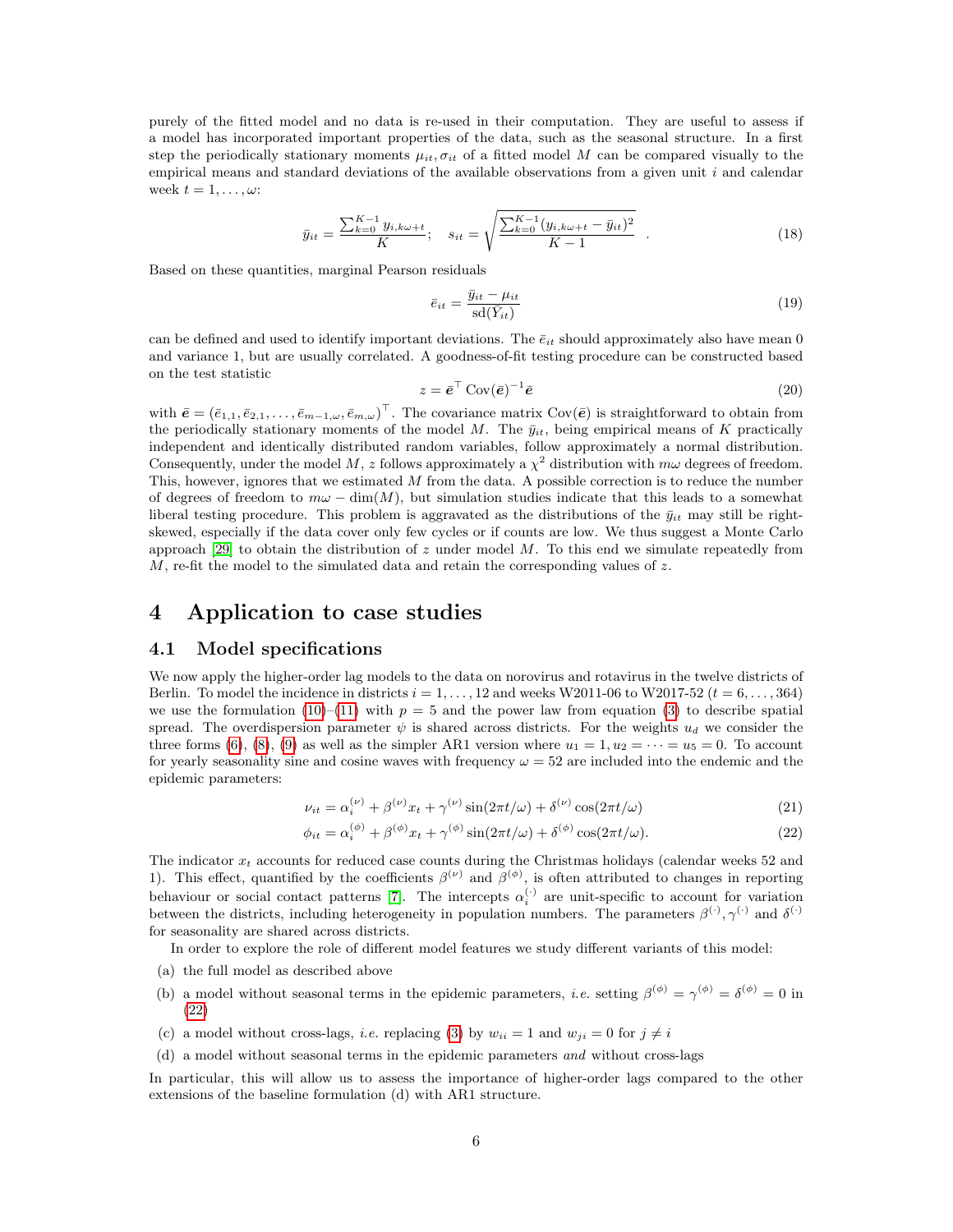purely of the fitted model and no data is re-used in their computation. They are useful to assess if a model has incorporated important properties of the data, such as the seasonal structure. In a first step the periodically stationary moments  $\mu_{it}, \sigma_{it}$  of a fitted model M can be compared visually to the empirical means and standard deviations of the available observations from a given unit  $i$  and calendar week  $t = 1, \ldots, \omega$ :

$$
\bar{y}_{it} = \frac{\sum_{k=0}^{K-1} y_{i,k\omega+t}}{K}; \quad s_{it} = \sqrt{\frac{\sum_{k=0}^{K-1} (y_{i,k\omega+t} - \bar{y}_{it})^2}{K-1}} \quad . \tag{18}
$$

Based on these quantities, marginal Pearson residuals

<span id="page-5-3"></span>
$$
\bar{e}_{it} = \frac{\bar{y}_{it} - \mu_{it}}{\text{sd}(\bar{Y}_{it})} \tag{19}
$$

<span id="page-5-4"></span>can be defined and used to identify important deviations. The  $\bar{e}_{it}$  should approximately also have mean 0 and variance 1, but are usually correlated. A goodness-of-fit testing procedure can be constructed based on the test statistic

$$
z = \bar{e}^{\top} \operatorname{Cov}(\bar{e})^{-1} \bar{e}
$$
 (20)

with  $\bar{\mathbf{e}} = (\bar{e}_{1,1}, \bar{e}_{2,1}, \ldots, \bar{e}_{m-1,\omega}, \bar{e}_{m,\omega})^{\top}$ . The covariance matrix Cov $(\bar{\mathbf{e}})$  is straightforward to obtain from the periodically stationary moments of the model M. The  $\bar{y}_{it}$ , being empirical means of K practically independent and identically distributed random variables, follow approximately a normal distribution. Consequently, under the model M, z follows approximately a  $\chi^2$  distribution with  $m\omega$  degrees of freedom. This, however, ignores that we estimated  $M$  from the data. A possible correction is to reduce the number of degrees of freedom to  $m\omega - \dim(M)$ , but simulation studies indicate that this leads to a somewhat liberal testing procedure. This problem is aggravated as the distributions of the  $\bar{y}_{it}$  may still be rightskewed, especially if the data cover only few cycles or if counts are low. We thus suggest a Monte Carlo approach [\[29\]](#page-17-8) to obtain the distribution of z under model  $M$ . To this end we simulate repeatedly from  $M$ , re-fit the model to the simulated data and retain the corresponding values of  $z$ .

## <span id="page-5-0"></span>4 Application to case studies

### 4.1 Model specifications

We now apply the higher-order lag models to the data on norovirus and rotavirus in the twelve districts of Berlin. To model the incidence in districts  $i = 1, \ldots, 12$  and weeks W2011-06 to W2017-52  $(t = 6, \ldots, 364)$ we use the formulation [\(10\)](#page-3-5)–[\(11\)](#page-3-6) with  $p = 5$  and the power law from equation [\(3\)](#page-2-1) to describe spatial spread. The overdispersion parameter  $\psi$  is shared across districts. For the weights  $u_d$  we consider the three forms [\(6\)](#page-3-3), [\(8\)](#page-3-7), [\(9\)](#page-3-8) as well as the simpler AR1 version where  $u_1 = 1, u_2 = \cdots = u_5 = 0$ . To account for yearly seasonality sine and cosine waves with frequency  $\omega = 52$  are included into the endemic and the epidemic parameters:

<span id="page-5-2"></span><span id="page-5-1"></span>
$$
\nu_{it} = \alpha_i^{(\nu)} + \beta^{(\nu)} x_t + \gamma^{(\nu)} \sin(2\pi t/\omega) + \delta^{(\nu)} \cos(2\pi t/\omega)
$$
 (21)

$$
\phi_{it} = \alpha_i^{(\phi)} + \beta^{(\phi)} x_t + \gamma^{(\phi)} \sin(2\pi t/\omega) + \delta^{(\phi)} \cos(2\pi t/\omega). \tag{22}
$$

The indicator  $x_t$  accounts for reduced case counts during the Christmas holidays (calendar weeks 52 and 1). This effect, quantified by the coefficients  $\beta^{(\nu)}$  and  $\beta^{(\phi)}$ , is often attributed to changes in reporting behaviour or social contact patterns [\[7\]](#page-16-6). The intercepts  $\alpha_i^{(\cdot)}$  are unit-specific to account for variation between the districts, including heterogeneity in population numbers. The parameters  $\beta^{(\cdot)}, \gamma^{(\cdot)}$  and  $\delta^{(\cdot)}$ for seasonality are shared across districts.

In order to explore the role of different model features we study different variants of this model:

- (a) the full model as described above
- (b) a model without seasonal terms in the epidemic parameters, *i.e.* setting  $\beta^{(\phi)} = \gamma^{(\phi)} = \delta^{(\phi)} = 0$  in [\(22\)](#page-5-1)
- (c) a model without cross-lags, *i.e.* replacing [\(3\)](#page-2-1) by  $w_{ii} = 1$  and  $w_{ji} = 0$  for  $j \neq i$
- (d) a model without seasonal terms in the epidemic parameters and without cross-lags

In particular, this will allow us to assess the importance of higher-order lags compared to the other extensions of the baseline formulation (d) with AR1 structure.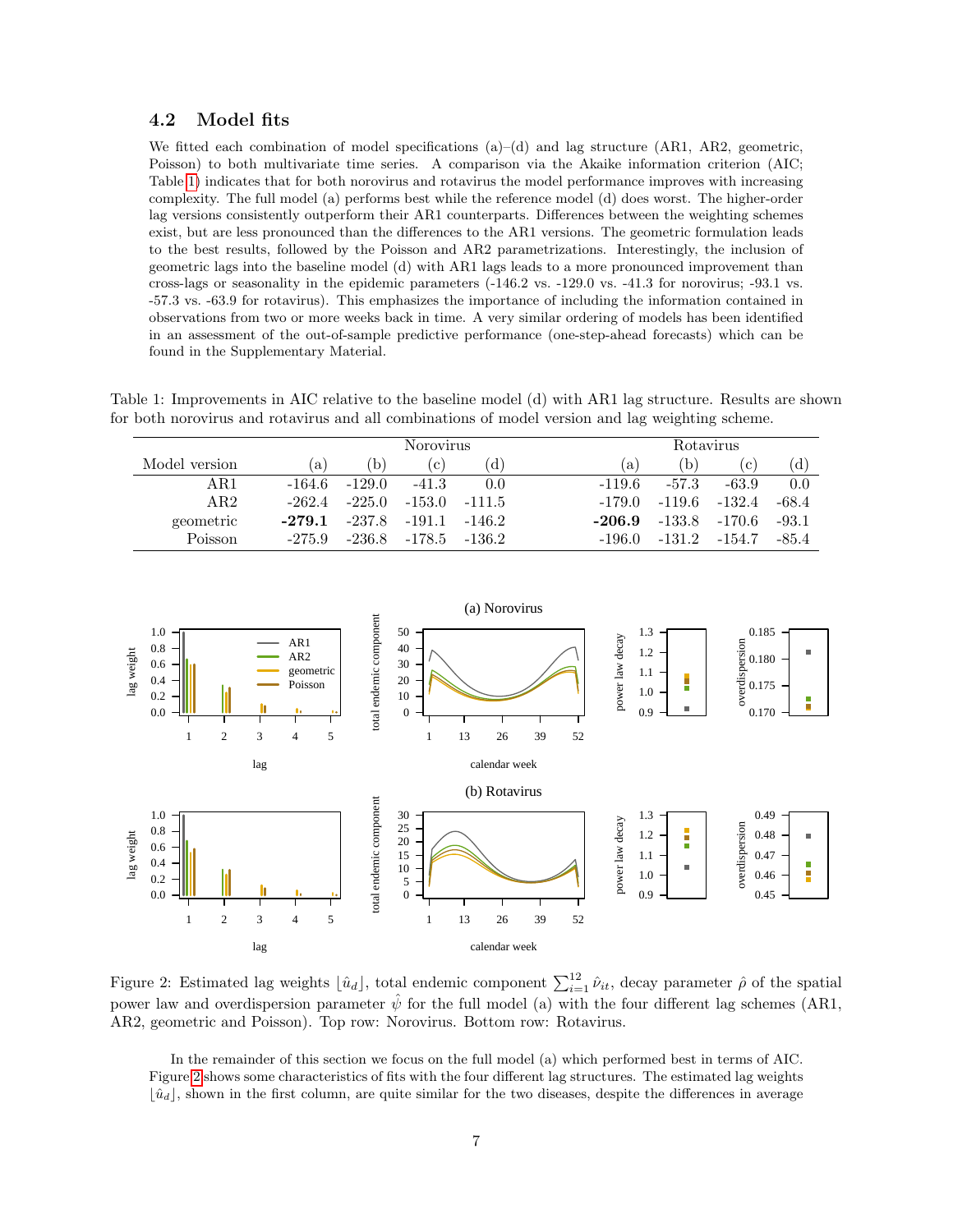## 4.2 Model fits

We fitted each combination of model specifications  $(a)$ – $(d)$  and lag structure (AR1, AR2, geometric, Poisson) to both multivariate time series. A comparison via the Akaike information criterion (AIC; Table [1\)](#page-6-0) indicates that for both norovirus and rotavirus the model performance improves with increasing complexity. The full model (a) performs best while the reference model (d) does worst. The higher-order lag versions consistently outperform their AR1 counterparts. Differences between the weighting schemes exist, but are less pronounced than the differences to the AR1 versions. The geometric formulation leads to the best results, followed by the Poisson and AR2 parametrizations. Interestingly, the inclusion of geometric lags into the baseline model (d) with AR1 lags leads to a more pronounced improvement than cross-lags or seasonality in the epidemic parameters (-146.2 vs. -129.0 vs. -41.3 for norovirus; -93.1 vs. -57.3 vs. -63.9 for rotavirus). This emphasizes the importance of including the information contained in observations from two or more weeks back in time. A very similar ordering of models has been identified in an assessment of the out-of-sample predictive performance (one-step-ahead forecasts) which can be found in the Supplementary Material.

<span id="page-6-0"></span>Table 1: Improvements in AIC relative to the baseline model (d) with AR1 lag structure. Results are shown for both norovirus and rotavirus and all combinations of model version and lag weighting scheme.

|               |          | <b>Norovirus</b> |                     |                   |        | <b>Rotavirus</b> |            |         |  |  |
|---------------|----------|------------------|---------------------|-------------------|--------|------------------|------------|---------|--|--|
| Model version | a        | b                | $\lfloor c \rfloor$ | d.                | a      | b)               | $\vert$ C) | d)      |  |  |
| AR1           | -164.6   | $-129.0$         | $-41.3$             | 0.0               | -119.6 | $-57.3$          | -63.9      | 0.0     |  |  |
| AR2           | $-262.4$ | $-225.0$         |                     | $-153.0$ $-111.5$ | -179.0 | $-119.6$         | $-132.4$   | $-68.4$ |  |  |
| geometric     | $-279.1$ | -237.8           | $-191.1$            | $-146.2$          | -206.9 | $-133.8$         | $-170.6$   | $-93.1$ |  |  |
| Poisson       | $-275.9$ | $-236.8$         |                     | $-178.5$ $-136.2$ | -196.0 | $-131.2$         | $-154.7$   | $-85.4$ |  |  |



<span id="page-6-1"></span>Figure 2: Estimated lag weights  $\lfloor \hat{u}_d \rfloor$ , total endemic component  $\sum_{i=1}^{12} \hat{\nu}_{it}$ , decay parameter  $\hat{\rho}$  of the spatial power law and overdispersion parameter  $\hat{\psi}$  for the full model (a) with the four different lag schemes (AR1, AR2, geometric and Poisson). Top row: Norovirus. Bottom row: Rotavirus.

In the remainder of this section we focus on the full model (a) which performed best in terms of AIC. Figure [2](#page-6-1) shows some characteristics of fits with the four different lag structures. The estimated lag weights  $|\hat{u}_d|$ , shown in the first column, are quite similar for the two diseases, despite the differences in average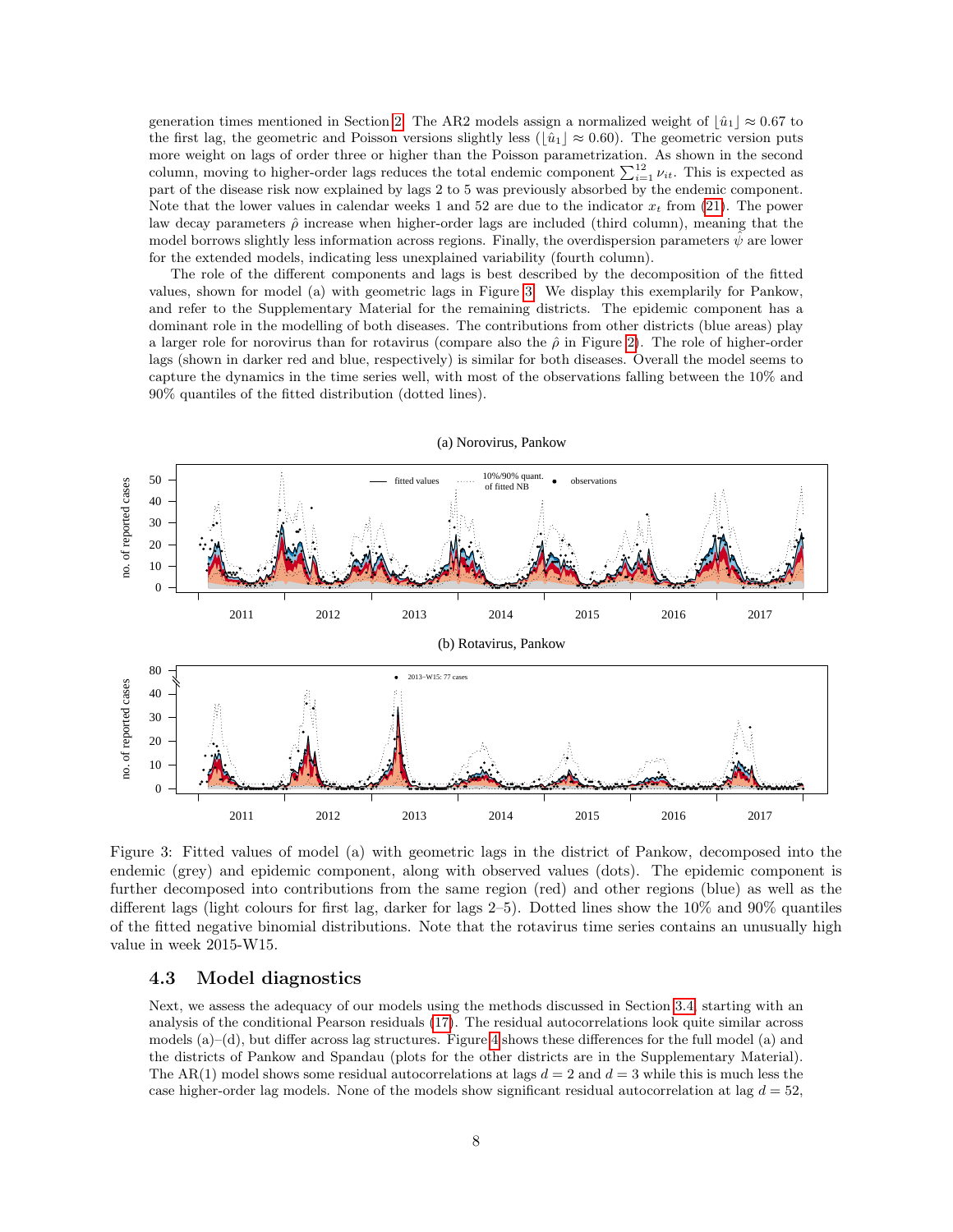generation times mentioned in Section [2.](#page-1-0) The AR2 models assign a normalized weight of  $|\hat{u}_1| \approx 0.67$  to the first lag, the geometric and Poisson versions slightly less ( $\hat{u_1} \approx 0.60$ ). The geometric version puts more weight on lags of order three or higher than the Poisson parametrization. As shown in the second column, moving to higher-order lags reduces the total endemic component  $\sum_{i=1}^{12} \nu_{it}$ . This is expected as part of the disease risk now explained by lags 2 to 5 was previously absorbed by the endemic component. Note that the lower values in calendar weeks 1 and 52 are due to the indicator  $x_t$  from [\(21\)](#page-5-2). The power law decay parameters  $\hat{\rho}$  increase when higher-order lags are included (third column), meaning that the model borrows slightly less information across regions. Finally, the overdispersion parameters  $\psi$  are lower for the extended models, indicating less unexplained variability (fourth column).

The role of the different components and lags is best described by the decomposition of the fitted values, shown for model (a) with geometric lags in Figure [3.](#page-7-0) We display this exemplarily for Pankow, and refer to the Supplementary Material for the remaining districts. The epidemic component has a dominant role in the modelling of both diseases. The contributions from other districts (blue areas) play a larger role for norovirus than for rotavirus (compare also the  $\hat{\rho}$  in Figure [2\)](#page-6-1). The role of higher-order lags (shown in darker red and blue, respectively) is similar for both diseases. Overall the model seems to capture the dynamics in the time series well, with most of the observations falling between the 10% and 90% quantiles of the fitted distribution (dotted lines).



(a) Norovirus, Pankow

<span id="page-7-0"></span>Figure 3: Fitted values of model (a) with geometric lags in the district of Pankow, decomposed into the endemic (grey) and epidemic component, along with observed values (dots). The epidemic component is further decomposed into contributions from the same region (red) and other regions (blue) as well as the different lags (light colours for first lag, darker for lags 2–5). Dotted lines show the 10% and 90% quantiles of the fitted negative binomial distributions. Note that the rotavirus time series contains an unusually high value in week 2015-W15.

### <span id="page-7-1"></span>4.3 Model diagnostics

Next, we assess the adequacy of our models using the methods discussed in Section [3.4,](#page-4-1) starting with an analysis of the conditional Pearson residuals [\(17\)](#page-4-4). The residual autocorrelations look quite similar across models (a)–(d), but differ across lag structures. Figure [4](#page-8-1) shows these differences for the full model (a) and the districts of Pankow and Spandau (plots for the other districts are in the Supplementary Material). The AR(1) model shows some residual autocorrelations at lags  $d = 2$  and  $d = 3$  while this is much less the case higher-order lag models. None of the models show significant residual autocorrelation at lag  $d = 52$ ,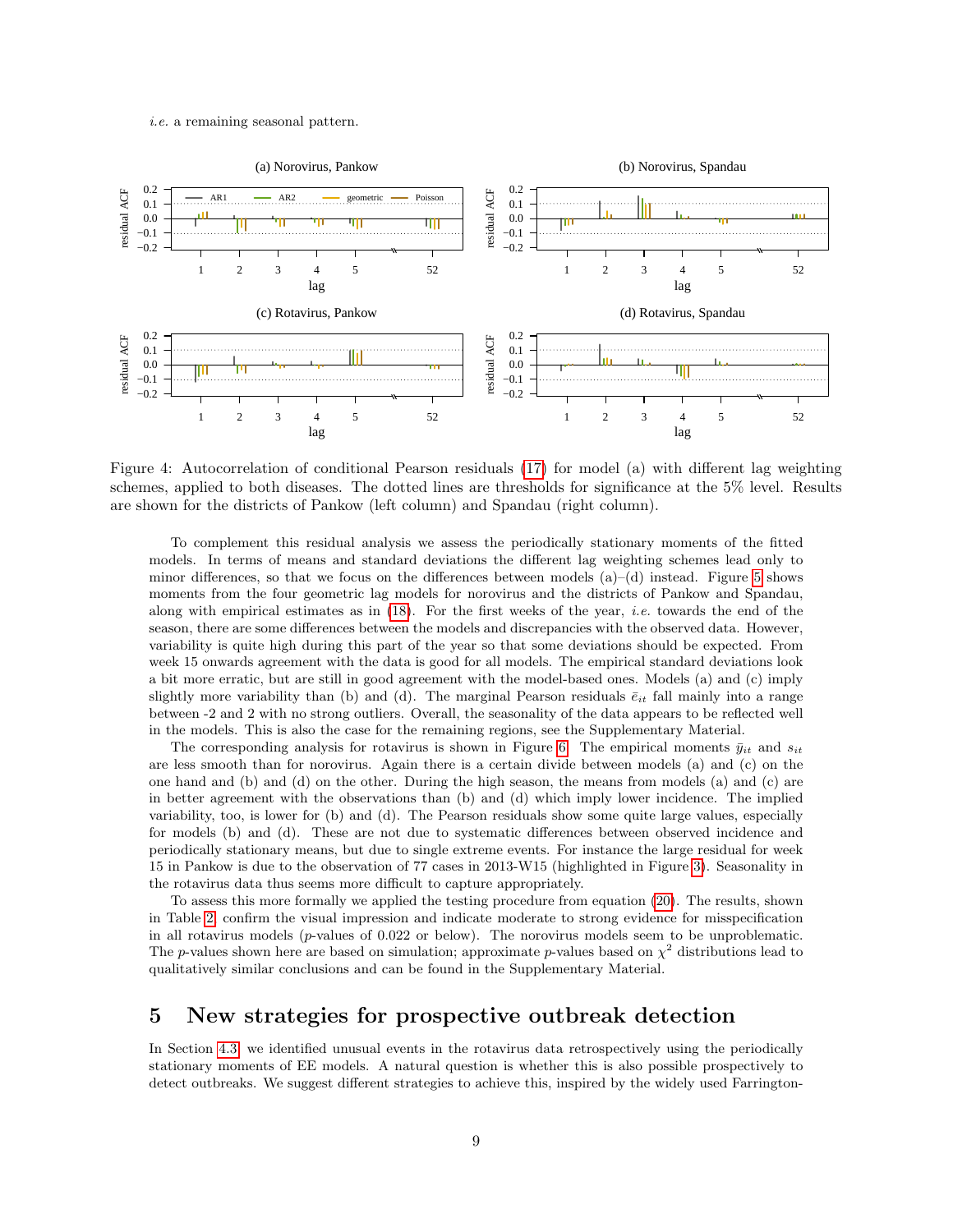#### i.e. a remaining seasonal pattern.



<span id="page-8-1"></span>Figure 4: Autocorrelation of conditional Pearson residuals [\(17\)](#page-4-4) for model (a) with different lag weighting schemes, applied to both diseases. The dotted lines are thresholds for significance at the 5% level. Results are shown for the districts of Pankow (left column) and Spandau (right column).

To complement this residual analysis we assess the periodically stationary moments of the fitted models. In terms of means and standard deviations the different lag weighting schemes lead only to minor differences, so that we focus on the differences between models  $(a)$ – $(d)$  instead. Figure [5](#page-9-0) shows moments from the four geometric lag models for norovirus and the districts of Pankow and Spandau, along with empirical estimates as in  $(18)$ . For the first weeks of the year, *i.e.* towards the end of the season, there are some differences between the models and discrepancies with the observed data. However, variability is quite high during this part of the year so that some deviations should be expected. From week 15 onwards agreement with the data is good for all models. The empirical standard deviations look a bit more erratic, but are still in good agreement with the model-based ones. Models (a) and (c) imply slightly more variability than (b) and (d). The marginal Pearson residuals  $\bar{e}_{it}$  fall mainly into a range between -2 and 2 with no strong outliers. Overall, the seasonality of the data appears to be reflected well in the models. This is also the case for the remaining regions, see the Supplementary Material.

The corresponding analysis for rotavirus is shown in Figure [6.](#page-10-0) The empirical moments  $\bar{y}_{it}$  and  $s_{it}$ are less smooth than for norovirus. Again there is a certain divide between models (a) and (c) on the one hand and (b) and (d) on the other. During the high season, the means from models (a) and (c) are in better agreement with the observations than (b) and (d) which imply lower incidence. The implied variability, too, is lower for (b) and (d). The Pearson residuals show some quite large values, especially for models (b) and (d). These are not due to systematic differences between observed incidence and periodically stationary means, but due to single extreme events. For instance the large residual for week 15 in Pankow is due to the observation of 77 cases in 2013-W15 (highlighted in Figure [3\)](#page-7-0). Seasonality in the rotavirus data thus seems more difficult to capture appropriately.

To assess this more formally we applied the testing procedure from equation [\(20\)](#page-5-4). The results, shown in Table [2,](#page-9-1) confirm the visual impression and indicate moderate to strong evidence for misspecification in all rotavirus models  $(p$ -values of  $0.022$  or below). The norovirus models seem to be unproblematic. The p-values shown here are based on simulation; approximate p-values based on  $\chi^2$  distributions lead to qualitatively similar conclusions and can be found in the Supplementary Material.

## <span id="page-8-0"></span>5 New strategies for prospective outbreak detection

In Section [4.3,](#page-7-1) we identified unusual events in the rotavirus data retrospectively using the periodically stationary moments of EE models. A natural question is whether this is also possible prospectively to detect outbreaks. We suggest different strategies to achieve this, inspired by the widely used Farrington-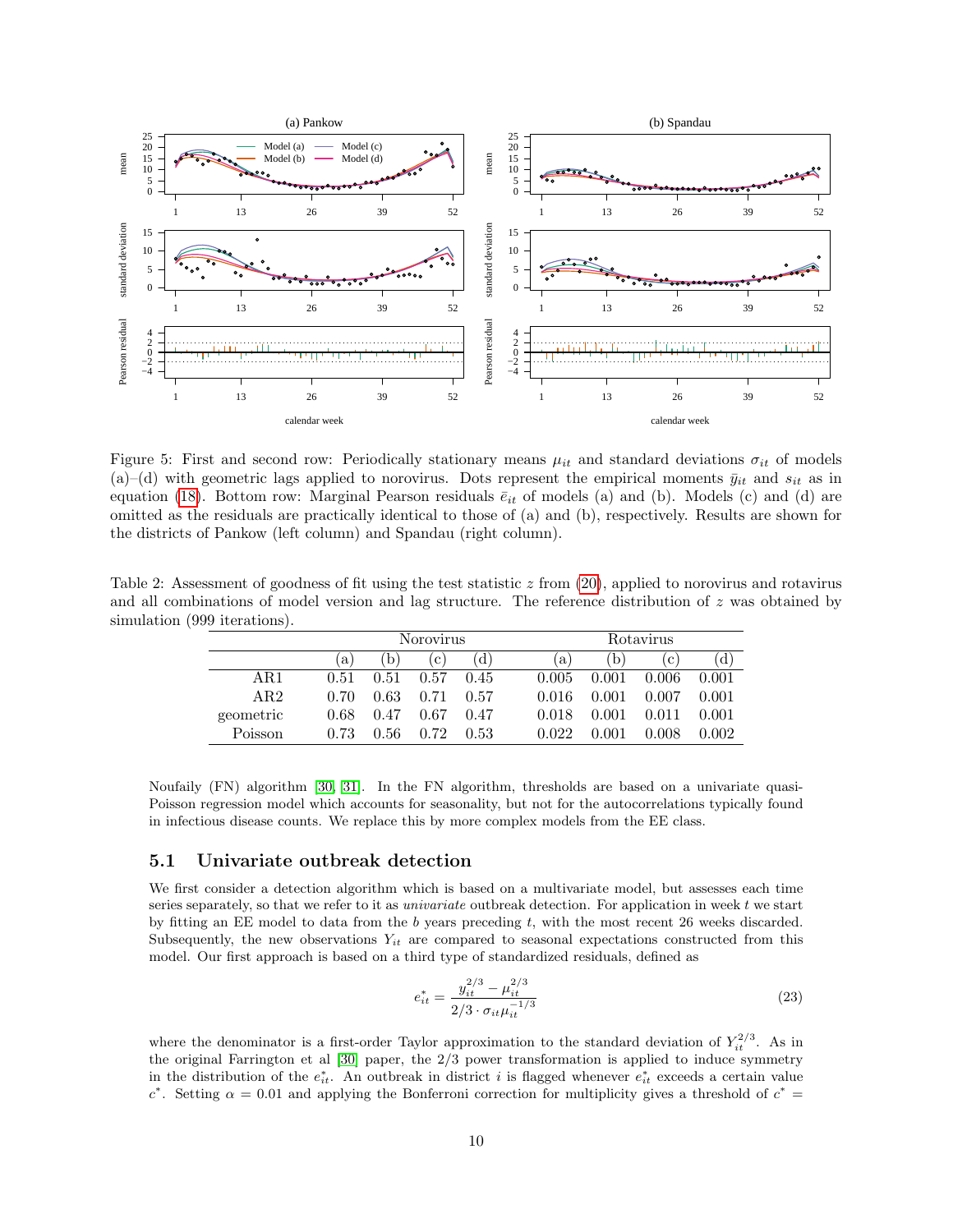

<span id="page-9-0"></span>Figure 5: First and second row: Periodically stationary means  $\mu_{it}$  and standard deviations  $\sigma_{it}$  of models (a)–(d) with geometric lags applied to norovirus. Dots represent the empirical moments  $\bar{y}_{it}$  and  $s_{it}$  as in equation [\(18\)](#page-5-3). Bottom row: Marginal Pearson residuals  $\bar{e}_{it}$  of models (a) and (b). Models (c) and (d) are omitted as the residuals are practically identical to those of (a) and (b), respectively. Results are shown for the districts of Pankow (left column) and Spandau (right column).

<span id="page-9-1"></span>Table 2: Assessment of goodness of fit using the test statistic  $z$  from  $(20)$ , applied to norovirus and rotavirus and all combinations of model version and lag structure. The reference distribution of z was obtained by simulation (999 iterations).

|           |      |      | <b>Norovirus</b> |      |              | Rotavirus    |       |       |  |  |  |
|-----------|------|------|------------------|------|--------------|--------------|-------|-------|--|--|--|
|           | a    | b)   | $\mathbf{c}$     | d.   | $\mathbf{a}$ | $\mathbf{b}$ | c     | 'd)   |  |  |  |
| AR1       | 0.51 | 0.51 | 0.57             | 0.45 | 0.005        | 0.001        | 0.006 | 0.001 |  |  |  |
| AR2       | 0.70 | 0.63 | 0.71             | 0.57 | 0.016        | 0.001        | 0.007 | 0.001 |  |  |  |
| geometric | 0.68 | 0.47 | 0.67             | 0.47 | 0.018        | 0.001        | 0.011 | 0.001 |  |  |  |
| Poisson   | 0.73 | 0.56 | 0.72             | 0.53 | 0.022        |              | 0.008 | 0.002 |  |  |  |

Noufaily (FN) algorithm [\[30,](#page-17-9) [31\]](#page-17-10). In the FN algorithm, thresholds are based on a univariate quasi-Poisson regression model which accounts for seasonality, but not for the autocorrelations typically found in infectious disease counts. We replace this by more complex models from the EE class.

### 5.1 Univariate outbreak detection

We first consider a detection algorithm which is based on a multivariate model, but assesses each time series separately, so that we refer to it as *univariate* outbreak detection. For application in week  $t$  we start by fitting an EE model to data from the b years preceding t, with the most recent 26 weeks discarded. Subsequently, the new observations  $Y_{it}$  are compared to seasonal expectations constructed from this model. Our first approach is based on a third type of standardized residuals, defined as

$$
e_{it}^{*} = \frac{y_{it}^{2/3} - \mu_{it}^{2/3}}{2/3 \cdot \sigma_{it} \mu_{it}^{-1/3}}
$$
(23)

where the denominator is a first-order Taylor approximation to the standard deviation of  $Y_{it}^{2/3}$ . As in the original Farrington et al [\[30\]](#page-17-9) paper, the 2/3 power transformation is applied to induce symmetry in the distribution of the  $e_{it}^*$ . An outbreak in district i is flagged whenever  $e_{it}^*$  exceeds a certain value c<sup>\*</sup>. Setting  $\alpha = 0.01$  and applying the Bonferroni correction for multiplicity gives a threshold of  $c^* =$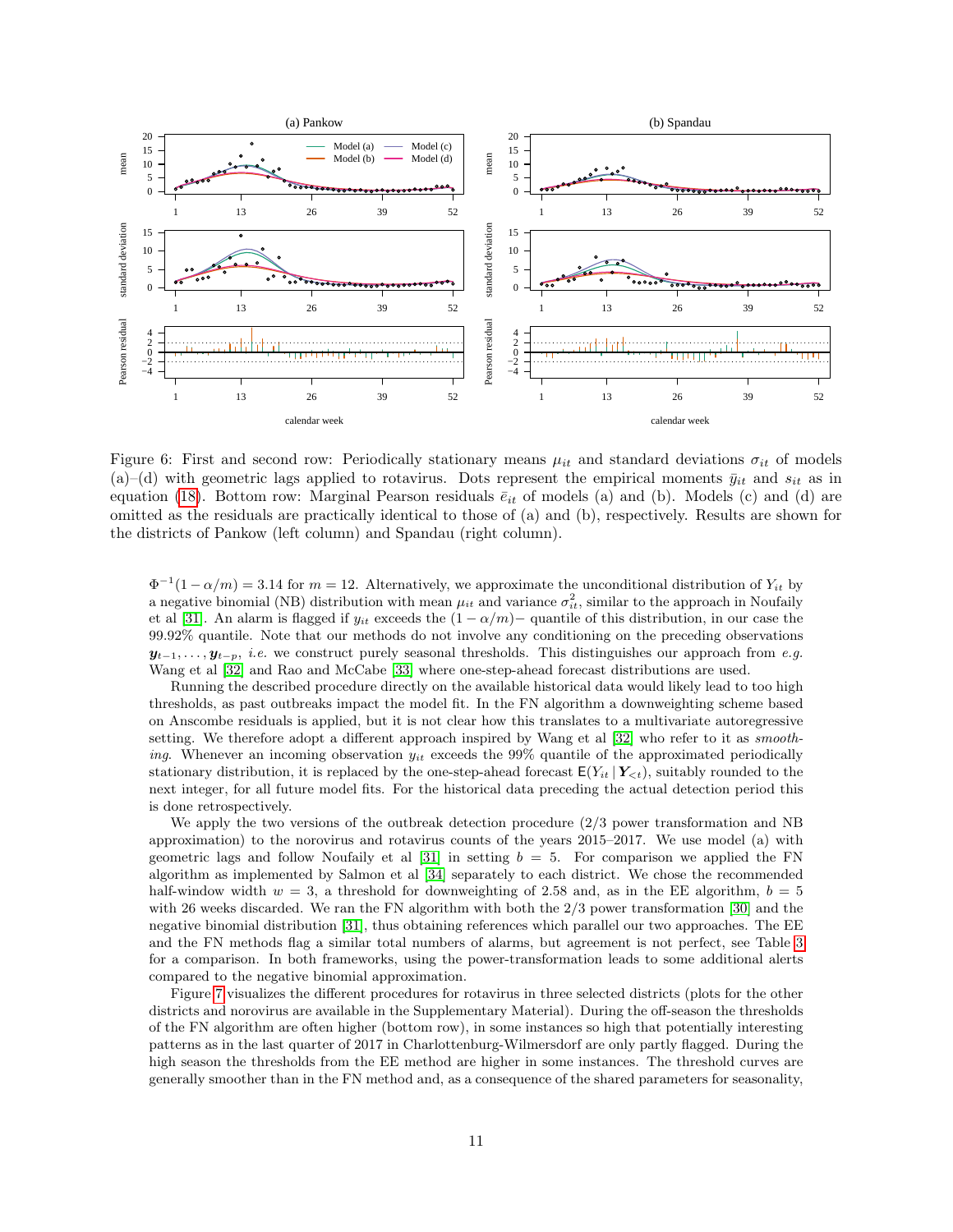

<span id="page-10-0"></span>Figure 6: First and second row: Periodically stationary means  $\mu_{it}$  and standard deviations  $\sigma_{it}$  of models (a)–(d) with geometric lags applied to rotavirus. Dots represent the empirical moments  $\bar{y}_{it}$  and  $s_{it}$  as in equation [\(18\)](#page-5-3). Bottom row: Marginal Pearson residuals  $\bar{e}_{it}$  of models (a) and (b). Models (c) and (d) are omitted as the residuals are practically identical to those of (a) and (b), respectively. Results are shown for the districts of Pankow (left column) and Spandau (right column).

 $\Phi^{-1}(1-\alpha/m) = 3.14$  for  $m = 12$ . Alternatively, we approximate the unconditional distribution of  $Y_{it}$  by a negative binomial (NB) distribution with mean  $\mu_{it}$  and variance  $\sigma_{it}^2$ , similar to the approach in Noufaily et al [\[31\]](#page-17-10). An alarm is flagged if  $y_{it}$  exceeds the  $(1 - \alpha/m)$  quantile of this distribution, in our case the 99.92% quantile. Note that our methods do not involve any conditioning on the preceding observations  $y_{t-1}, \ldots, y_{t-p}$ , *i.e.* we construct purely seasonal thresholds. This distinguishes our approach from e.g. Wang et al [\[32\]](#page-17-11) and Rao and McCabe [\[33\]](#page-17-12) where one-step-ahead forecast distributions are used.

Running the described procedure directly on the available historical data would likely lead to too high thresholds, as past outbreaks impact the model fit. In the FN algorithm a downweighting scheme based on Anscombe residuals is applied, but it is not clear how this translates to a multivariate autoregressive setting. We therefore adopt a different approach inspired by Wang et al [\[32\]](#page-17-11) who refer to it as *smooth*ing. Whenever an incoming observation  $y_{it}$  exceeds the 99% quantile of the approximated periodically stationary distribution, it is replaced by the one-step-ahead forecast  $E(Y_{it} | Y_{\leq t})$ , suitably rounded to the next integer, for all future model fits. For the historical data preceding the actual detection period this is done retrospectively.

We apply the two versions of the outbreak detection procedure  $(2/3)$  power transformation and NB approximation) to the norovirus and rotavirus counts of the years 2015–2017. We use model (a) with geometric lags and follow Noufaily et al [\[31\]](#page-17-10) in setting  $b = 5$ . For comparison we applied the FN algorithm as implemented by Salmon et al [\[34\]](#page-17-13) separately to each district. We chose the recommended half-window width  $w = 3$ , a threshold for downweighting of 2.58 and, as in the EE algorithm,  $b = 5$ with 26 weeks discarded. We ran the FN algorithm with both the 2/3 power transformation [\[30\]](#page-17-9) and the negative binomial distribution [\[31\]](#page-17-10), thus obtaining references which parallel our two approaches. The EE and the FN methods flag a similar total numbers of alarms, but agreement is not perfect, see Table [3](#page-11-0) for a comparison. In both frameworks, using the power-transformation leads to some additional alerts compared to the negative binomial approximation.

Figure [7](#page-11-1) visualizes the different procedures for rotavirus in three selected districts (plots for the other districts and norovirus are available in the Supplementary Material). During the off-season the thresholds of the FN algorithm are often higher (bottom row), in some instances so high that potentially interesting patterns as in the last quarter of 2017 in Charlottenburg-Wilmersdorf are only partly flagged. During the high season the thresholds from the EE method are higher in some instances. The threshold curves are generally smoother than in the FN method and, as a consequence of the shared parameters for seasonality,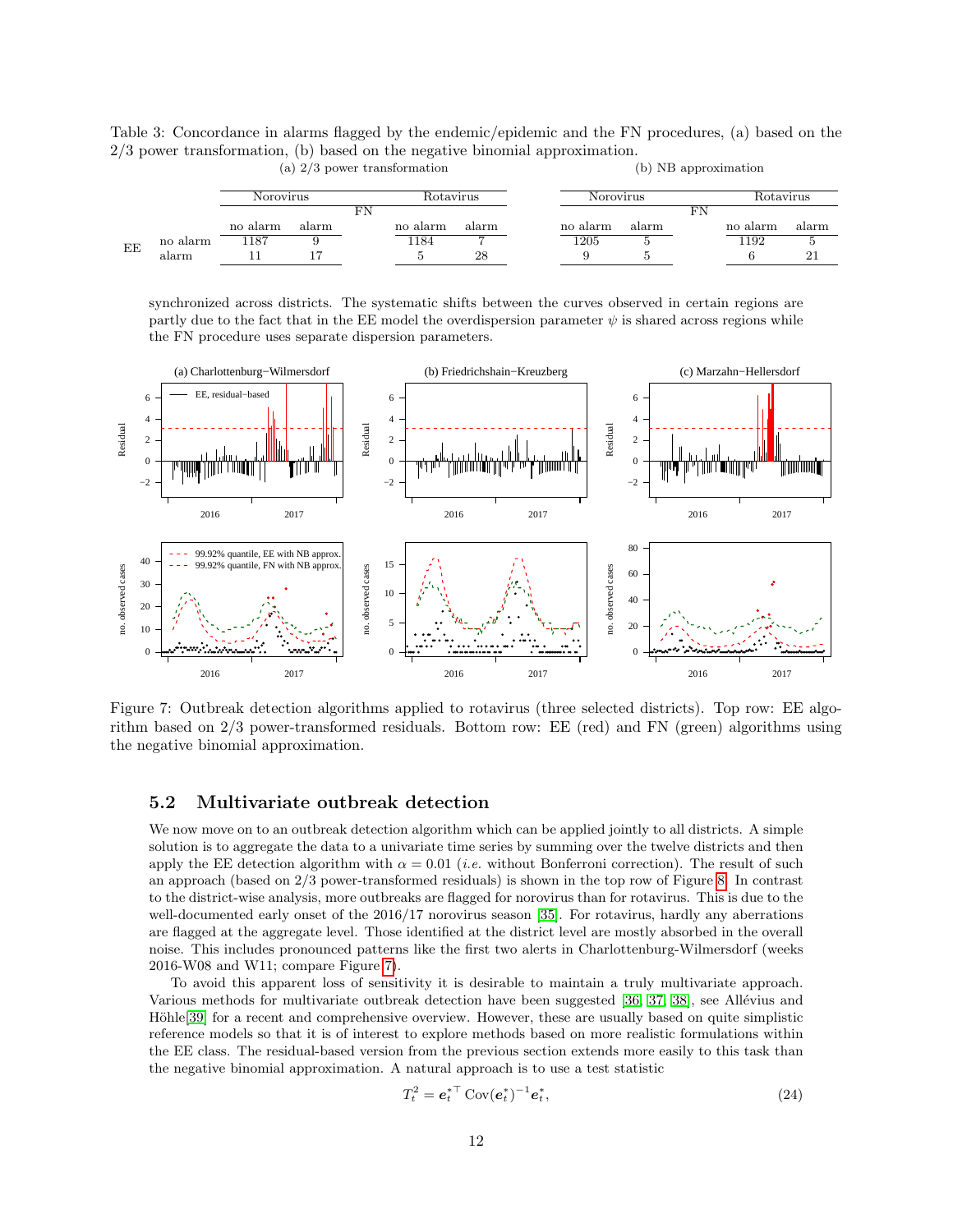<span id="page-11-0"></span>Table 3: Concordance in alarms flagged by the endemic/epidemic and the FN procedures, (a) based on the 2/3 power transformation, (b) based on the negative binomial approximation. (a) 2/3 power transformation (b) NB approximation

|    |          | Norovirus |       |  | Rotavirus |       | Norovirus |       | Rotavirus |          |       |
|----|----------|-----------|-------|--|-----------|-------|-----------|-------|-----------|----------|-------|
|    |          |           |       |  |           |       |           |       | FN        |          |       |
|    |          | no alarm  | alarm |  | no alarm  | alarm | no alarm  | alarm |           | no alarm | alarm |
| EE | no alarm | 1187      |       |  | 184       |       | 1205      |       |           | 1192     |       |
|    | alarm    |           |       |  |           | 28    |           |       |           |          |       |

synchronized across districts. The systematic shifts between the curves observed in certain regions are partly due to the fact that in the EE model the overdispersion parameter  $\psi$  is shared across regions while



<span id="page-11-1"></span>Figure 7: Outbreak detection algorithms applied to rotavirus (three selected districts). Top row: EE algorithm based on 2/3 power-transformed residuals. Bottom row: EE (red) and FN (green) algorithms using the negative binomial approximation.

### 5.2 Multivariate outbreak detection

the FN procedure uses separate dispersion parameters.

We now move on to an outbreak detection algorithm which can be applied jointly to all districts. A simple solution is to aggregate the data to a univariate time series by summing over the twelve districts and then apply the EE detection algorithm with  $\alpha = 0.01$  (*i.e.* without Bonferroni correction). The result of such an approach (based on 2/3 power-transformed residuals) is shown in the top row of Figure [8.](#page-12-1) In contrast to the district-wise analysis, more outbreaks are flagged for norovirus than for rotavirus. This is due to the well-documented early onset of the 2016/17 norovirus season [\[35\]](#page-17-14). For rotavirus, hardly any aberrations are flagged at the aggregate level. Those identified at the district level are mostly absorbed in the overall noise. This includes pronounced patterns like the first two alerts in Charlottenburg-Wilmersdorf (weeks 2016-W08 and W11; compare Figure [7\)](#page-11-1).

To avoid this apparent loss of sensitivity it is desirable to maintain a truly multivariate approach. Various methods for multivariate outbreak detection have been suggested [\[36,](#page-17-15) [37,](#page-17-16) [38\]](#page-17-17), see Allévius and Höhle<sup>[\[39\]](#page-17-18)</sup> for a recent and comprehensive overview. However, these are usually based on quite simplistic reference models so that it is of interest to explore methods based on more realistic formulations within the EE class. The residual-based version from the previous section extends more easily to this task than the negative binomial approximation. A natural approach is to use a test statistic

<span id="page-11-2"></span>
$$
T_t^2 = e_t^{*\top} \text{Cov}(e_t^*)^{-1} e_t^*,\tag{24}
$$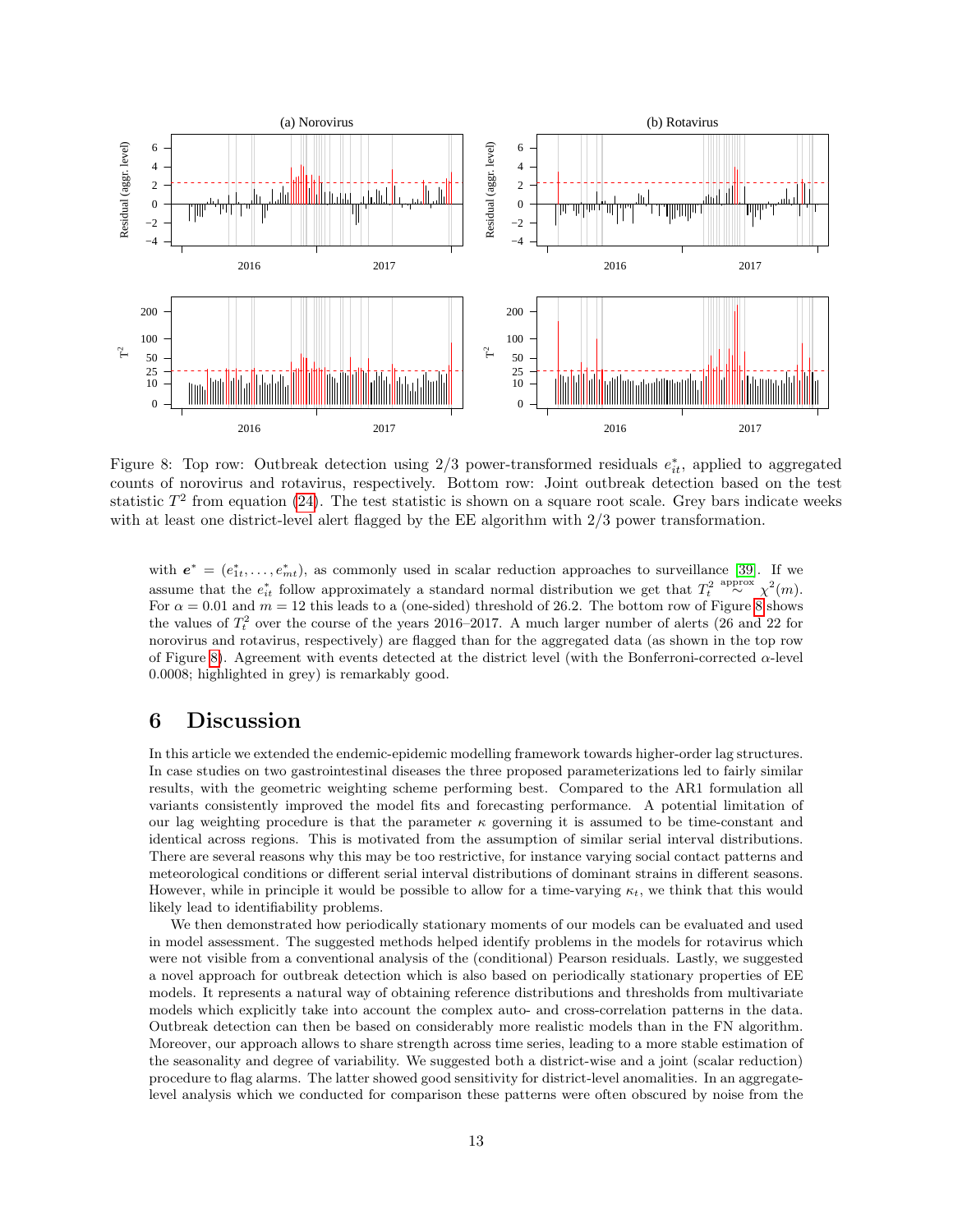

<span id="page-12-1"></span>Figure 8: Top row: Outbreak detection using  $2/3$  power-transformed residuals  $e_{it}^*$ , applied to aggregated counts of norovirus and rotavirus, respectively. Bottom row: Joint outbreak detection based on the test statistic  $T^2$  from equation [\(24\)](#page-11-2). The test statistic is shown on a square root scale. Grey bars indicate weeks with at least one district-level alert flagged by the EE algorithm with 2/3 power transformation.

with  $e^* = (e_{1t}^*, \ldots, e_{mt}^*)$ , as commonly used in scalar reduction approaches to surveillance [\[39\]](#page-17-18). If we assume that the  $e_{it}^*$  follow approximately a standard normal distribution we get that  $T_t^2 \stackrel{\text{approx}}{\sim} \chi^2(m)$ . For  $\alpha = 0.01$  and  $m = 12$  this leads to a (one-sided) threshold of 26.2. The bottom row of Figure [8](#page-12-1) shows the values of  $T_t^2$  over the course of the years 2016–2017. A much larger number of alerts (26 and 22 for norovirus and rotavirus, respectively) are flagged than for the aggregated data (as shown in the top row of Figure [8\)](#page-12-1). Agreement with events detected at the district level (with the Bonferroni-corrected  $\alpha$ -level 0.0008; highlighted in grey) is remarkably good.

## <span id="page-12-0"></span>6 Discussion

In this article we extended the endemic-epidemic modelling framework towards higher-order lag structures. In case studies on two gastrointestinal diseases the three proposed parameterizations led to fairly similar results, with the geometric weighting scheme performing best. Compared to the AR1 formulation all variants consistently improved the model fits and forecasting performance. A potential limitation of our lag weighting procedure is that the parameter  $\kappa$  governing it is assumed to be time-constant and identical across regions. This is motivated from the assumption of similar serial interval distributions. There are several reasons why this may be too restrictive, for instance varying social contact patterns and meteorological conditions or different serial interval distributions of dominant strains in different seasons. However, while in principle it would be possible to allow for a time-varying  $\kappa_t$ , we think that this would likely lead to identifiability problems.

We then demonstrated how periodically stationary moments of our models can be evaluated and used in model assessment. The suggested methods helped identify problems in the models for rotavirus which were not visible from a conventional analysis of the (conditional) Pearson residuals. Lastly, we suggested a novel approach for outbreak detection which is also based on periodically stationary properties of EE models. It represents a natural way of obtaining reference distributions and thresholds from multivariate models which explicitly take into account the complex auto- and cross-correlation patterns in the data. Outbreak detection can then be based on considerably more realistic models than in the FN algorithm. Moreover, our approach allows to share strength across time series, leading to a more stable estimation of the seasonality and degree of variability. We suggested both a district-wise and a joint (scalar reduction) procedure to flag alarms. The latter showed good sensitivity for district-level anomalities. In an aggregatelevel analysis which we conducted for comparison these patterns were often obscured by noise from the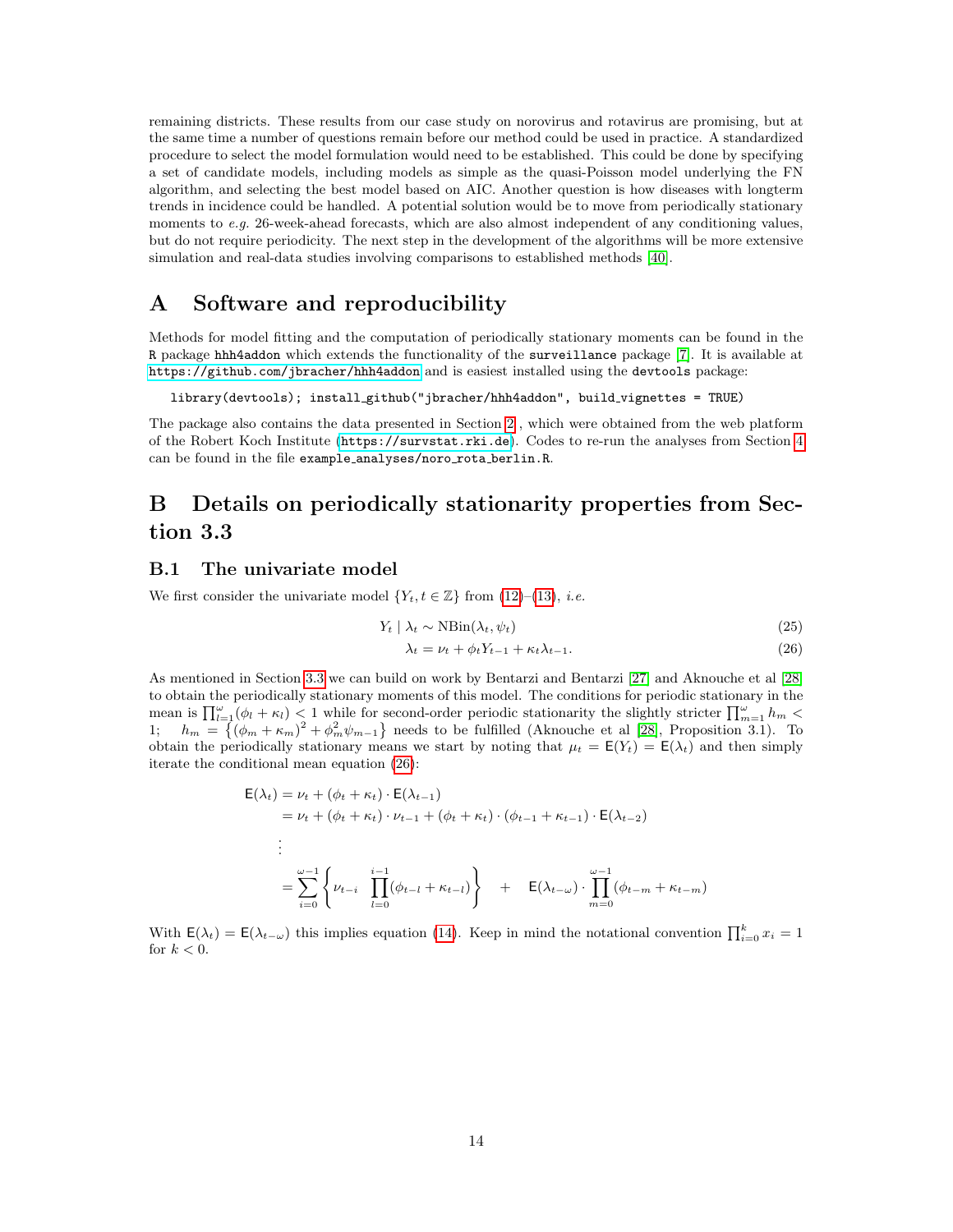remaining districts. These results from our case study on norovirus and rotavirus are promising, but at the same time a number of questions remain before our method could be used in practice. A standardized procedure to select the model formulation would need to be established. This could be done by specifying a set of candidate models, including models as simple as the quasi-Poisson model underlying the FN algorithm, and selecting the best model based on AIC. Another question is how diseases with longterm trends in incidence could be handled. A potential solution would be to move from periodically stationary moments to  $e.g.$  26-week-ahead forecasts, which are also almost independent of any conditioning values, but do not require periodicity. The next step in the development of the algorithms will be more extensive simulation and real-data studies involving comparisons to established methods [\[40\]](#page-17-19).

## <span id="page-13-0"></span>A Software and reproducibility

Methods for model fitting and the computation of periodically stationary moments can be found in the R package hhh4addon which extends the functionality of the surveillance package [\[7\]](#page-16-6). It is available at <https://github.com/jbracher/hhh4addon> and is easiest installed using the devtools package:

library(devtools); install github("jbracher/hhh4addon", build vignettes = TRUE)

The package also contains the data presented in Section [2](#page-1-0) , which were obtained from the web platform of the Robert Koch Institute (<https://survstat.rki.de>). Codes to re-run the analyses from Section [4](#page-5-0) can be found in the file example\_analyses/noro\_rota\_berlin.R.

## <span id="page-13-1"></span>B Details on periodically stationarity properties from Section 3.3

### B.1 The univariate model

We first consider the univariate model  $\{Y_t, t \in \mathbb{Z}\}\$  from [\(12\)](#page-4-3)–[\(13\)](#page-4-2), *i.e.* 

$$
Y_t \mid \lambda_t \sim \text{NBin}(\lambda_t, \psi_t) \tag{25}
$$

<span id="page-13-2"></span>
$$
\lambda_t = \nu_t + \phi_t Y_{t-1} + \kappa_t \lambda_{t-1}.
$$
\n(26)

As mentioned in Section [3.3](#page-4-0) we can build on work by Bentarzi and Bentarzi [\[27\]](#page-17-6) and Aknouche et al [\[28\]](#page-17-7) to obtain the periodically stationary moments of this model. The conditions for periodic stationary in the mean is  $\prod_{l=1}^{\omega}(\phi_l + \kappa_l) < 1$  while for second-order periodic stationarity the slightly stricter  $\prod_{m=1}^{\omega} h_m <$ 1;  $h_m = \{ (\phi_m + \kappa_m)^2 + \phi_m^2 \psi_{m-1} \}$  needs to be fulfilled (Aknouche et al [\[28\]](#page-17-7), Proposition 3.1). To obtain the periodically stationary means we start by noting that  $\mu_t = \mathsf{E}(Y_t) = \mathsf{E}(\lambda_t)$  and then simply iterate the conditional mean equation [\(26\)](#page-13-2):

$$
\mathsf{E}(\lambda_t) = \nu_t + (\phi_t + \kappa_t) \cdot \mathsf{E}(\lambda_{t-1})
$$
  
\n
$$
= \nu_t + (\phi_t + \kappa_t) \cdot \nu_{t-1} + (\phi_t + \kappa_t) \cdot (\phi_{t-1} + \kappa_{t-1}) \cdot \mathsf{E}(\lambda_{t-2})
$$
  
\n
$$
\vdots
$$
  
\n
$$
= \sum_{i=0}^{\omega-1} \left\{ \nu_{t-i} \prod_{l=0}^{i-1} (\phi_{t-l} + \kappa_{t-l}) \right\} + \mathsf{E}(\lambda_{t-\omega}) \cdot \prod_{m=0}^{\omega-1} (\phi_{t-m} + \kappa_{t-m})
$$

With  $\mathsf{E}(\lambda_t) = \mathsf{E}(\lambda_{t-\omega})$  this implies equation [\(14\)](#page-4-5). Keep in mind the notational convention  $\prod_{i=0}^{k} x_i = 1$ for  $k < 0$ .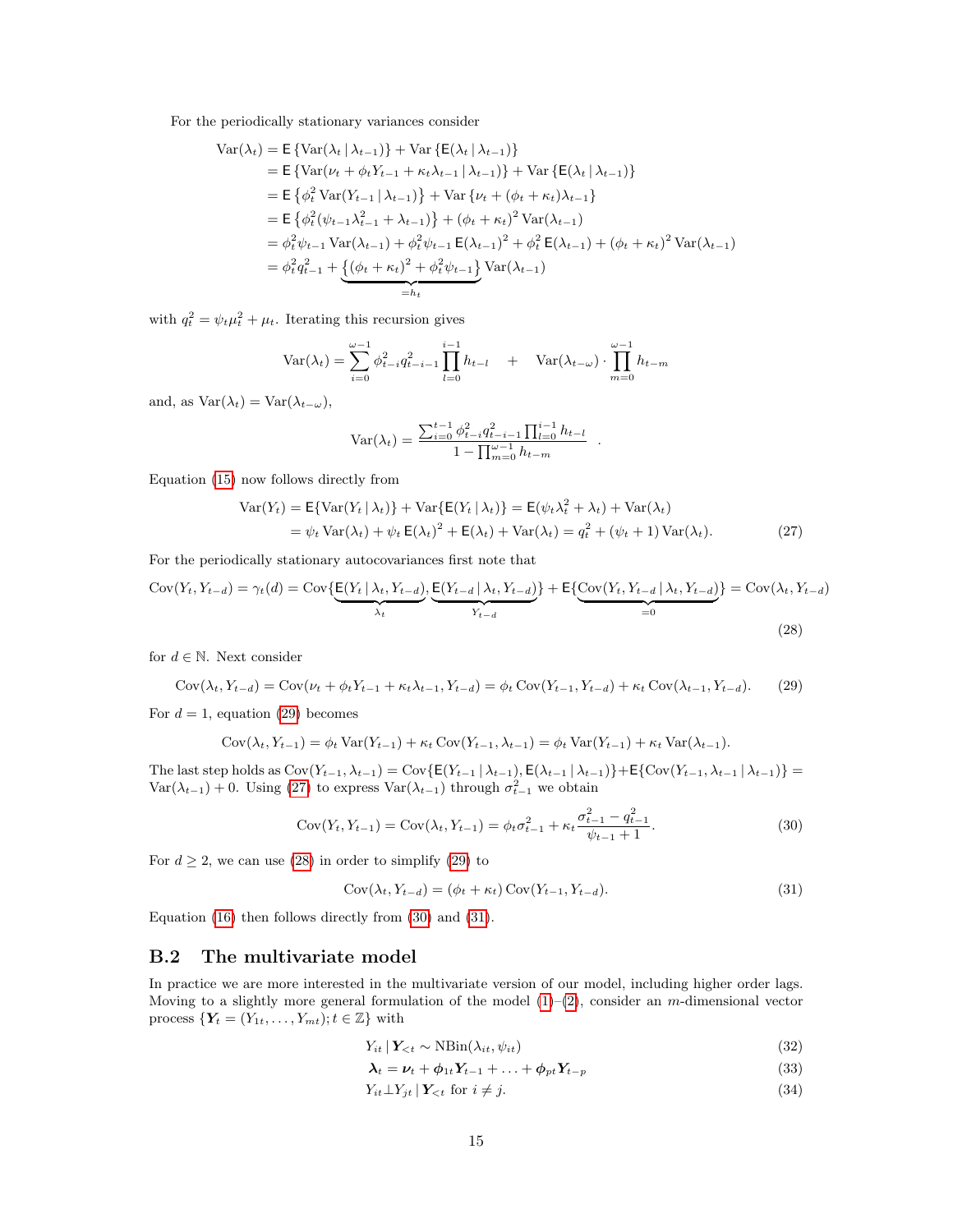For the periodically stationary variances consider

$$
\begin{split}\n\text{Var}(\lambda_{t}) &= \mathsf{E} \left\{ \text{Var}(\lambda_{t} \mid \lambda_{t-1}) \right\} + \text{Var} \left\{ \mathsf{E}(\lambda_{t} \mid \lambda_{t-1}) \right\} \\
&= \mathsf{E} \left\{ \text{Var}(\nu_{t} + \phi_{t} Y_{t-1} + \kappa_{t} \lambda_{t-1} \mid \lambda_{t-1}) \right\} + \text{Var} \left\{ \mathsf{E}(\lambda_{t} \mid \lambda_{t-1}) \right\} \\
&= \mathsf{E} \left\{ \phi_{t}^{2} \text{Var}(Y_{t-1} \mid \lambda_{t-1}) \right\} + \text{Var} \left\{ \nu_{t} + (\phi_{t} + \kappa_{t}) \lambda_{t-1} \right\} \\
&= \mathsf{E} \left\{ \phi_{t}^{2} (\psi_{t-1} \lambda_{t-1}^{2} + \lambda_{t-1}) \right\} + (\phi_{t} + \kappa_{t})^{2} \text{Var}(\lambda_{t-1}) \\
&= \phi_{t}^{2} \psi_{t-1} \text{Var}(\lambda_{t-1}) + \phi_{t}^{2} \psi_{t-1} \mathsf{E}(\lambda_{t-1})^{2} + \phi_{t}^{2} \mathsf{E}(\lambda_{t-1}) + (\phi_{t} + \kappa_{t})^{2} \text{Var}(\lambda_{t-1}) \\
&= \phi_{t}^{2} q_{t-1}^{2} + \underbrace{\left\{ (\phi_{t} + \kappa_{t})^{2} + \phi_{t}^{2} \psi_{t-1} \right\}}_{= h_{t}} \text{Var}(\lambda_{t-1}) \\
&= h_{t}\n\end{split}
$$

with  $q_t^2 = \psi_t \mu_t^2 + \mu_t$ . Iterating this recursion gives

$$
Var(\lambda_t) = \sum_{i=0}^{\omega-1} \phi_{t-i}^2 q_{t-i-1}^2 \prod_{l=0}^{i-1} h_{t-l} + Var(\lambda_{t-\omega}) \cdot \prod_{m=0}^{\omega-1} h_{t-m}
$$

and, as  $Var(\lambda_t) = Var(\lambda_{t-\omega})$ ,

<span id="page-14-3"></span><span id="page-14-2"></span>
$$
Var(\lambda_t) = \frac{\sum_{i=0}^{t-1} \phi_{t-i}^2 q_{t-i-1}^2 \prod_{l=0}^{i-1} h_{t-l}}{1 - \prod_{m=0}^{\omega-1} h_{t-m}}.
$$

Equation [\(15\)](#page-4-6) now follows directly from

$$
\begin{aligned} \text{Var}(Y_t) &= \mathsf{E}\{\text{Var}(Y_t \mid \lambda_t)\} + \text{Var}\{\mathsf{E}(Y_t \mid \lambda_t)\} = \mathsf{E}(\psi_t \lambda_t^2 + \lambda_t) + \text{Var}(\lambda_t) \\ &= \psi_t \text{Var}(\lambda_t) + \psi_t \mathsf{E}(\lambda_t)^2 + \mathsf{E}(\lambda_t) + \text{Var}(\lambda_t) = q_t^2 + (\psi_t + 1) \text{Var}(\lambda_t). \end{aligned} \tag{27}
$$

For the periodically stationary autocovariances first note that

$$
Cov(Y_t, Y_{t-d}) = \gamma_t(d) = Cov\left\{E(Y_t | \lambda_t, Y_{t-d})\right\}\n\left(E(Y_{t-d} | \lambda_t, Y_{t-d})\right) + E\left\{Cov(Y_t, Y_{t-d} | \lambda_t, Y_{t-d})\right\} = Cov(\lambda_t, Y_{t-d})\n\tag{28}
$$

for  $d \in \mathbb{N}$ . Next consider

$$
Cov(\lambda_t, Y_{t-d}) = Cov(\nu_t + \phi_t Y_{t-1} + \kappa_t \lambda_{t-1}, Y_{t-d}) = \phi_t Cov(Y_{t-1}, Y_{t-d}) + \kappa_t Cov(\lambda_{t-1}, Y_{t-d}).
$$
 (29)

For  $d = 1$ , equation [\(29\)](#page-14-1) becomes

<span id="page-14-1"></span>
$$
Cov(\lambda_t, Y_{t-1}) = \phi_t Var(Y_{t-1}) + \kappa_t Cov(Y_{t-1}, \lambda_{t-1}) = \phi_t Var(Y_{t-1}) + \kappa_t Var(\lambda_{t-1}).
$$

The last step holds as  $Cov(Y_{t-1}, \lambda_{t-1}) = Cov\{E(Y_{t-1} | \lambda_{t-1}), E(\lambda_{t-1} | \lambda_{t-1})\} + E\{Cov(Y_{t-1}, \lambda_{t-1} | \lambda_{t-1})\}$  $\text{Var}(\lambda_{t-1}) + 0$ . Using [\(27\)](#page-14-2) to express  $\text{Var}(\lambda_{t-1})$  through  $\sigma_{t-1}^2$  we obtain

$$
Cov(Y_t, Y_{t-1}) = Cov(\lambda_t, Y_{t-1}) = \phi_t \sigma_{t-1}^2 + \kappa_t \frac{\sigma_{t-1}^2 - q_{t-1}^2}{\psi_{t-1} + 1}.
$$
\n(30)

For  $d \geq 2$ , we can use [\(28\)](#page-14-3) in order to simplify [\(29\)](#page-14-1) to

<span id="page-14-5"></span><span id="page-14-4"></span>
$$
Cov(\lambda_t, Y_{t-d}) = (\phi_t + \kappa_t) Cov(Y_{t-1}, Y_{t-d}).
$$
\n(31)

Equation [\(16\)](#page-4-7) then follows directly from [\(30\)](#page-14-4) and [\(31\)](#page-14-5).

### <span id="page-14-0"></span>B.2 The multivariate model

In practice we are more interested in the multivariate version of our model, including higher order lags. Moving to a slightly more general formulation of the model  $(1)-(2)$  $(1)-(2)$  $(1)-(2)$ , consider an m-dimensional vector process  $\{Y_t = (Y_{1t}, \ldots, Y_{mt}); t \in \mathbb{Z}\}\)$  with

$$
Y_{it} \mid Y_{< t} \sim \text{NBin}(\lambda_{it}, \psi_{it}) \tag{32}
$$

<span id="page-14-6"></span>
$$
\lambda_t = \nu_t + \phi_{1t} Y_{t-1} + \ldots + \phi_{pt} Y_{t-p}
$$
\n
$$
\tag{33}
$$

<span id="page-14-7"></span>
$$
Y_{it} \perp Y_{jt} \mid Y_{
$$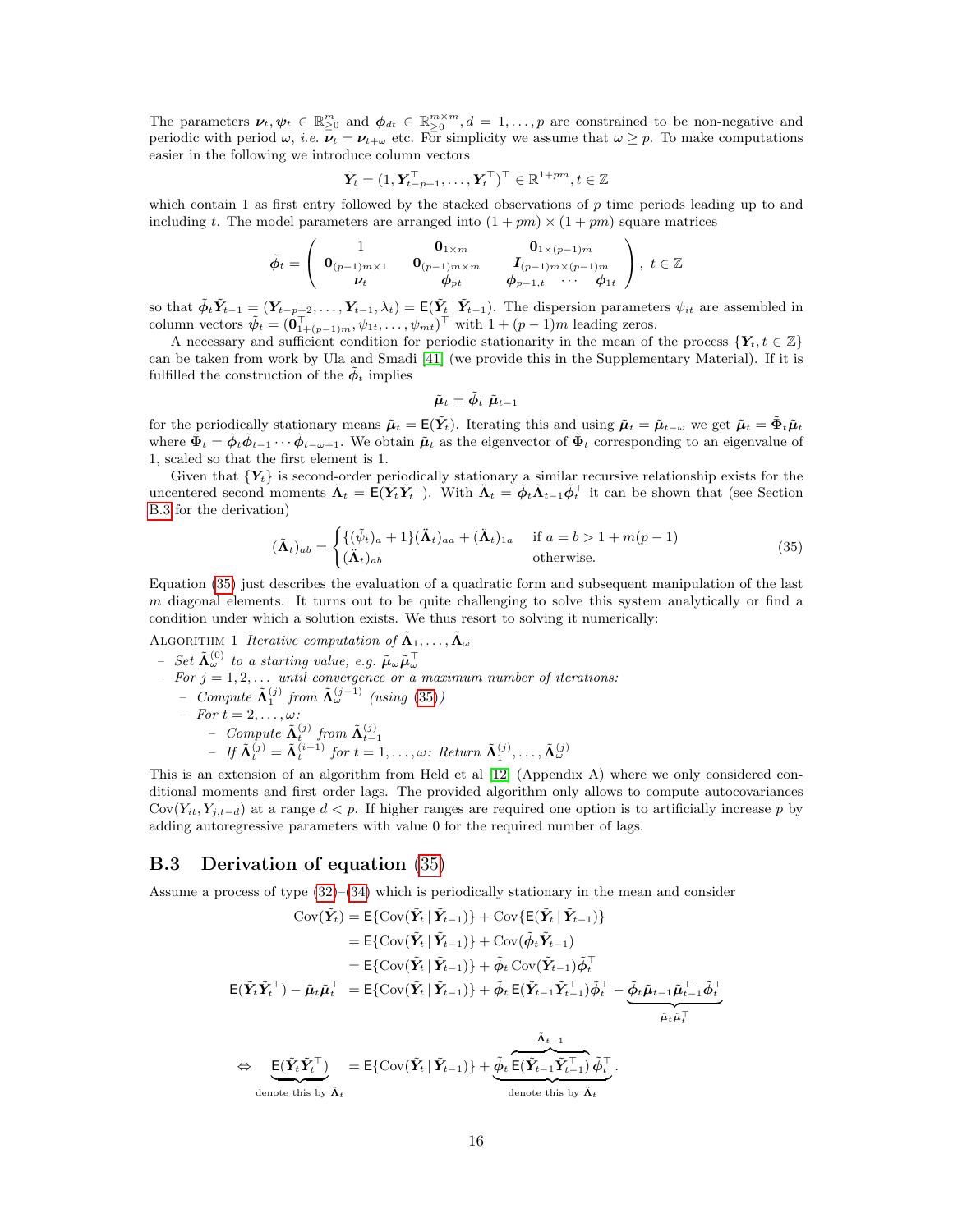The parameters  $v_t, \psi_t \in \mathbb{R}_{\geq 0}^m$  and  $\phi_{dt} \in \mathbb{R}_{\geq 0}^{m \times m}$ ,  $d = 1, \ldots, p$  are constrained to be non-negative and periodic with period  $\omega$ , *i.e.*  $\overline{\nu}_t = \nu_{t+\omega}$  etc. For simplicity we assume that  $\omega \geq p$ . To make computations easier in the following we introduce column vectors

$$
\tilde{\boldsymbol{Y}}_t = (1, \boldsymbol{Y}_{t-p+1}^\top, \ldots, \boldsymbol{Y}_t^\top)^\top \in \mathbb{R}^{1+pm}, t \in \mathbb{Z}
$$

which contain 1 as first entry followed by the stacked observations of  $p$  time periods leading up to and including t. The model parameters are arranged into  $(1 + pm) \times (1 + pm)$  square matrices

$$
\tilde{\phi}_t = \left(\begin{array}{cccc} 1 & \mathbf{0}_{1 \times m} & \mathbf{0}_{1 \times (p-1)m} \\ \mathbf{0}_{(p-1)m \times 1} & \mathbf{0}_{(p-1)m \times m} & \mathbf{I}_{(p-1)m \times (p-1)m} \\ \mathbf{v}_t & \phi_{pt} & \phi_{p-1,t} & \cdots & \phi_{1t} \end{array}\right), \ t \in \mathbb{Z}
$$

so that  $\tilde{\phi}_t \tilde{Y}_{t-1} = (Y_{t-p+2}, \ldots, Y_{t-1}, \lambda_t) = \mathsf{E}(\tilde{Y}_t | \tilde{Y}_{t-1})$ . The dispersion parameters  $\psi_{it}$  are assembled in column vectors  $\tilde{\psi}_t = (\mathbf{0}_{1+(p-1)m}^{\dagger}, \psi_{1t}, \dots, \psi_{mt})^{\dagger}$  with  $1+(p-1)m$  leading zeros.

A necessary and sufficient condition for periodic stationarity in the mean of the process  $\{Y_t, t \in \mathbb{Z}\}\$ can be taken from work by Ula and Smadi [\[41\]](#page-17-20) (we provide this in the Supplementary Material). If it is fulfilled the construction of the  $\phi_t$  implies

<span id="page-15-1"></span>
$$
\tilde{\boldsymbol{\mu}}_t = \tilde{\phi}_t \; \tilde{\boldsymbol{\mu}}_{t-1}
$$

for the periodically stationary means  $\tilde{\mu}_t = \mathsf{E}(\tilde{Y}_t)$ . Iterating this and using  $\tilde{\mu}_t = \tilde{\mu}_{t-\omega}$  we get  $\tilde{\mu}_t = \tilde{\Phi}_t \tilde{\mu}_t$ where  $\Phi_t = \phi_t \phi_{t-1} \cdots \phi_{t-\omega+1}$ . We obtain  $\tilde{\mu}_t$  as the eigenvector of  $\Phi_t$  corresponding to an eigenvalue of 1, scaled so that the first element is 1.

Given that  ${Y_t}$  is second-order periodically stationary a similar recursive relationship exists for the uncentered second moments  $\tilde{\Lambda}_t = \mathsf{E}(\tilde{Y}_t \tilde{Y}_t^{\top})$ . With  $\tilde{\Lambda}_t = \tilde{\phi}_t \tilde{\Lambda}_{t-1} \tilde{\phi}_t^{\top}$  it can be shown that (see Section [B.3](#page-15-0) for the derivation)

$$
(\tilde{\mathbf{\Lambda}}_t)_{ab} = \begin{cases} \{(\tilde{\psi}_t)_a + 1\} (\tilde{\mathbf{\Lambda}}_t)_{aa} + (\tilde{\mathbf{\Lambda}}_t)_{1a} & \text{if } a = b > 1 + m(p-1) \\ (\tilde{\mathbf{\Lambda}}_t)_{ab} & \text{otherwise.} \end{cases}
$$
(35)

Equation [\(35\)](#page-15-1) just describes the evaluation of a quadratic form and subsequent manipulation of the last  $m$  diagonal elements. It turns out to be quite challenging to solve this system analytically or find a condition under which a solution exists. We thus resort to solving it numerically:

# ALGORITHM 1 Iterative computation of  $\tilde{\Lambda}_1, \ldots, \tilde{\Lambda}_{\omega}$  $-$  Set  $\tilde{\mathbf{\Lambda}}_{\omega}^{(0)}$  to a starting value, e.g.  $\tilde{\boldsymbol{\mu}}_{\omega} \tilde{\boldsymbol{\mu}}_{\omega}^{\top}$ <br> $-$  For  $j = 1, 2, ...$  until convergence or a maximum number of iterations:  $-$  Compute  $\tilde{\Lambda}_{1}^{(j)}$  from  $\tilde{\Lambda}_{\omega}^{(j-1)}$  (using [\(35\)](#page-15-1))  $\begin{array}{lll} - & Compute \Lambda_1 & J^T \\ - & For \ t = 2, \ldots, \omega \end{array}$  $\begin{aligned} &\text{Compute }\widetilde{\mathbf{\Lambda}}_t^{(j)} \text{ from }\widetilde{\mathbf{\Lambda}}_{t-1}^{(j)}\ &\text{– if }\widetilde{\mathbf{\Lambda}}_t^{(j)} = \widetilde{\mathbf{\Lambda}}_t^{(i-1)} \text{ for } t = 1,\ldots,\omega\colon \text{Return }\widetilde{\mathbf{\Lambda}}_1^{(j)},\ldots,\widetilde{\mathbf{\Lambda}}_{\omega}^{(j)} \end{aligned}$

This is an extension of an algorithm from Held et al [\[12\]](#page-16-11) (Appendix A) where we only considered conditional moments and first order lags. The provided algorithm only allows to compute autocovariances  $Cov(Y_{it}, Y_{i,t-d})$  at a range  $d < p$ . If higher ranges are required one option is to artificially increase p by adding autoregressive parameters with value 0 for the required number of lags.

### <span id="page-15-0"></span>B.3 Derivation of equation [\(35\)](#page-15-1)

Assume a process of type [\(32\)](#page-14-6)–[\(34\)](#page-14-7) which is periodically stationary in the mean and consider

$$
\text{Cov}(\tilde{Y}_t) = \mathbb{E}\{\text{Cov}(\tilde{Y}_t | \tilde{Y}_{t-1})\} + \text{Cov}\{\mathbb{E}(\tilde{Y}_t | \tilde{Y}_{t-1})\}
$$
\n
$$
= \mathbb{E}\{\text{Cov}(\tilde{Y}_t | \tilde{Y}_{t-1})\} + \text{Cov}(\tilde{\phi}_t \tilde{Y}_{t-1})
$$
\n
$$
= \mathbb{E}\{\text{Cov}(\tilde{Y}_t | \tilde{Y}_{t-1})\} + \tilde{\phi}_t \text{Cov}(\tilde{Y}_{t-1})\tilde{\phi}_t^\top
$$
\n
$$
\mathbb{E}(\tilde{Y}_t \tilde{Y}_t^\top) - \tilde{\mu}_t \tilde{\mu}_t^\top = \mathbb{E}\{\text{Cov}(\tilde{Y}_t | \tilde{Y}_{t-1})\} + \tilde{\phi}_t \text{E}(\tilde{Y}_{t-1} \tilde{Y}_{t-1}^\top) \tilde{\phi}_t^\top - \underbrace{\tilde{\phi}_t \tilde{\mu}_{t-1} \tilde{\mu}_{t-1}^\top \tilde{\phi}_t^\top}_{\tilde{\mu}_t \tilde{\mu}_t^\top}
$$
\n
$$
\Leftrightarrow \underbrace{\mathbb{E}(\tilde{Y}_t \tilde{Y}_t^\top)}_{\text{denote this by } \tilde{\Lambda}_t} = \mathbb{E}\{\text{Cov}(\tilde{Y}_t | \tilde{Y}_{t-1})\} + \underbrace{\tilde{\phi}_t \overbrace{\mathbb{E}(\tilde{Y}_{t-1} \tilde{Y}_{t-1}^\top)}_{\text{denote this by } \tilde{\Lambda}_t} \tilde{\phi}_t^\top.
$$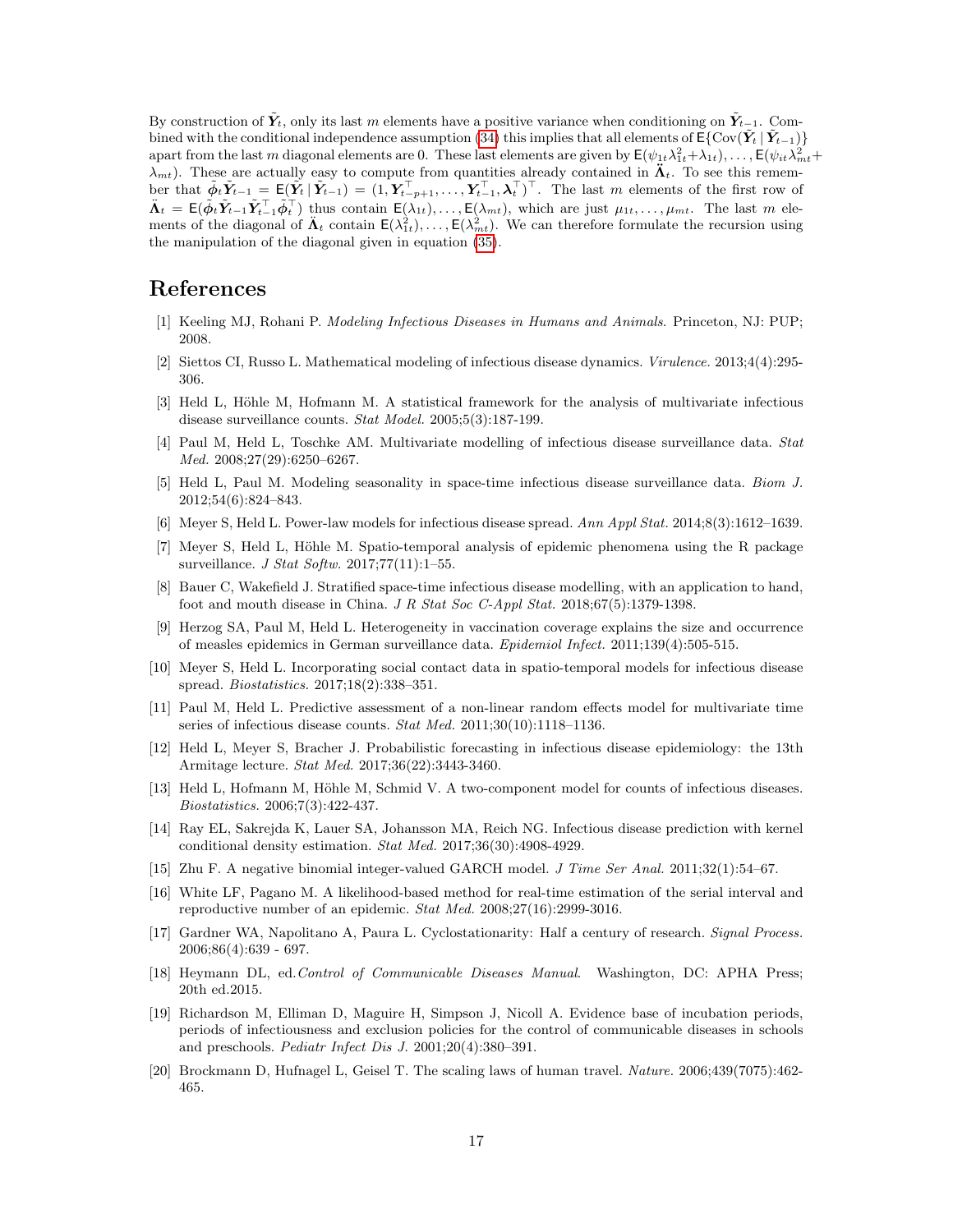By construction of  $\tilde{Y}_t$ , only its last m elements have a positive variance when conditioning on  $\tilde{Y}_{t-1}$ . Com-bined with the conditional independence assumption [\(34\)](#page-14-7) this implies that all elements of  $E\{Cov(\tilde{Y}_t | \tilde{Y}_{t-1})\}$ apart from the last m diagonal elements are 0. These last elements are given by  $\mathsf{E}(\psi_{1t}\lambda_{1t}^2+\lambda_{1t}),\ldots,\mathsf{E}(\psi_{it}\lambda_{mt}^2+\lambda_{nt})$  $\lambda_{mt}$ ). These are actually easy to compute from quantities already contained in  $\tilde{\Lambda}_t$ . To see this remember that  $\tilde{\phi}_t \tilde{Y}_{t-1} = \mathsf{E}(\tilde{Y}_t | \tilde{Y}_{t-1}) = (1, Y_{t-p+1}^\top, \ldots, Y_{t-1}^\top, \lambda_t^\top)^\top$ . The last m elements of the first row of  $\mathbf{\Lambda}_t = \mathsf{E}(\tilde{\phi}_t \tilde{\mathbf{Y}}_{t-1} \tilde{\mathbf{Y}}_{t-1}^\top \tilde{\phi}_t^\top)$  thus contain  $\mathsf{E}(\lambda_{1t}), \ldots, \mathsf{E}(\lambda_{mt}),$  which are just  $\mu_{1t}, \ldots, \mu_{mt}$ . The last m elements of the diagonal of  $\mathbf{A}_t$  contain  $\mathsf{E}(\lambda_{1t}^2), \ldots, \mathsf{E}(\lambda_{mt}^2)$ . We can therefore formulate the recursion using the manipulation of the diagonal given in equation [\(35\)](#page-15-1).

## References

- <span id="page-16-0"></span>[1] Keeling MJ, Rohani P. Modeling Infectious Diseases in Humans and Animals. Princeton, NJ: PUP; 2008.
- <span id="page-16-1"></span>[2] Siettos CI, Russo L. Mathematical modeling of infectious disease dynamics. Virulence. 2013;4(4):295- 306.
- <span id="page-16-2"></span>[3] Held L, Höhle M, Hofmann M. A statistical framework for the analysis of multivariate infectious disease surveillance counts. Stat Model. 2005;5(3):187-199.
- <span id="page-16-3"></span>[4] Paul M, Held L, Toschke AM. Multivariate modelling of infectious disease surveillance data. Stat Med. 2008;27(29):6250–6267.
- <span id="page-16-4"></span>[5] Held L, Paul M. Modeling seasonality in space-time infectious disease surveillance data. Biom J. 2012;54(6):824–843.
- <span id="page-16-5"></span>[6] Meyer S, Held L. Power-law models for infectious disease spread. Ann Appl Stat. 2014;8(3):1612–1639.
- <span id="page-16-6"></span>[7] Meyer S, Held L, Höhle M. Spatio-temporal analysis of epidemic phenomena using the R package surveillance. *J Stat Softw.* 2017;77(11):1-55.
- <span id="page-16-7"></span>[8] Bauer C, Wakefield J. Stratified space-time infectious disease modelling, with an application to hand, foot and mouth disease in China. J R Stat Soc C-Appl Stat. 2018;67(5):1379-1398.
- <span id="page-16-8"></span>[9] Herzog SA, Paul M, Held L. Heterogeneity in vaccination coverage explains the size and occurrence of measles epidemics in German surveillance data. Epidemiol Infect. 2011;139(4):505-515.
- <span id="page-16-9"></span>[10] Meyer S, Held L. Incorporating social contact data in spatio-temporal models for infectious disease spread. Biostatistics. 2017;18(2):338–351.
- <span id="page-16-10"></span>[11] Paul M, Held L. Predictive assessment of a non-linear random effects model for multivariate time series of infectious disease counts. Stat Med. 2011;30(10):1118-1136.
- <span id="page-16-11"></span>[12] Held L, Meyer S, Bracher J. Probabilistic forecasting in infectious disease epidemiology: the 13th Armitage lecture. Stat Med. 2017;36(22):3443-3460.
- <span id="page-16-12"></span>[13] Held L, Hofmann M, Höhle M, Schmid V. A two-component model for counts of infectious diseases. Biostatistics. 2006;7(3):422-437.
- <span id="page-16-13"></span>[14] Ray EL, Sakrejda K, Lauer SA, Johansson MA, Reich NG. Infectious disease prediction with kernel conditional density estimation. Stat Med. 2017;36(30):4908-4929.
- <span id="page-16-14"></span>[15] Zhu F. A negative binomial integer-valued GARCH model. J Time Ser Anal. 2011;32(1):54–67.
- <span id="page-16-15"></span>[16] White LF, Pagano M. A likelihood-based method for real-time estimation of the serial interval and reproductive number of an epidemic. Stat Med. 2008;27(16):2999-3016.
- <span id="page-16-16"></span>[17] Gardner WA, Napolitano A, Paura L. Cyclostationarity: Half a century of research. Signal Process. 2006;86(4):639 - 697.
- <span id="page-16-17"></span>[18] Heymann DL, ed.Control of Communicable Diseases Manual. Washington, DC: APHA Press; 20th ed.2015.
- <span id="page-16-18"></span>[19] Richardson M, Elliman D, Maguire H, Simpson J, Nicoll A. Evidence base of incubation periods, periods of infectiousness and exclusion policies for the control of communicable diseases in schools and preschools. Pediatr Infect Dis J. 2001;20(4):380–391.
- <span id="page-16-19"></span>[20] Brockmann D, Hufnagel L, Geisel T. The scaling laws of human travel. Nature. 2006;439(7075):462- 465.